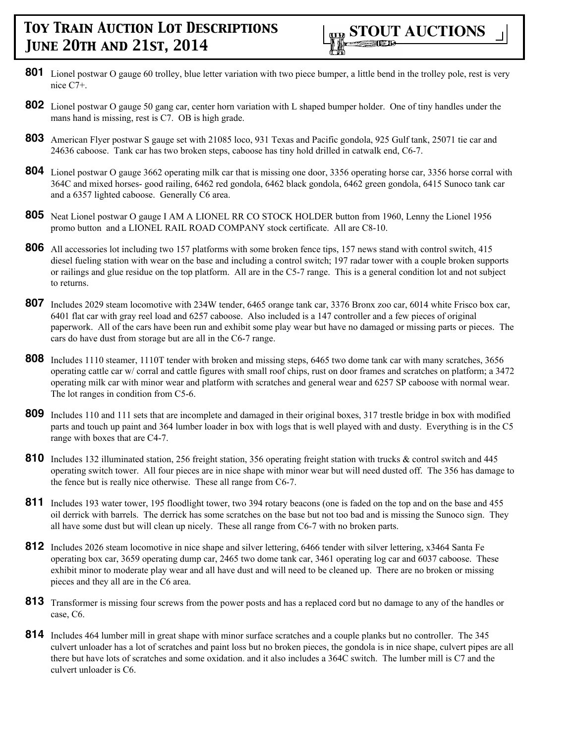- **801** Lionel postwar O gauge 60 trolley, blue letter variation with two piece bumper, a little bend in the trolley pole, rest is very nice C7+.
- **802** Lionel postwar O gauge 50 gang car, center horn variation with L shaped bumper holder. One of tiny handles under the mans hand is missing, rest is C7. OB is high grade.
- **803** American Flyer postwar S gauge set with 21085 loco, 931 Texas and Pacific gondola, 925 Gulf tank, 25071 tie car and 24636 caboose. Tank car has two broken steps, caboose has tiny hold drilled in catwalk end, C6-7.
- **804** Lionel postwar O gauge 3662 operating milk car that is missing one door, 3356 operating horse car, 3356 horse corral with 364C and mixed horses- good railing, 6462 red gondola, 6462 black gondola, 6462 green gondola, 6415 Sunoco tank car and a 6357 lighted caboose. Generally C6 area.
- **805** Neat Lionel postwar O gauge I AM A LIONEL RR CO STOCK HOLDER button from 1960, Lenny the Lionel 1956 promo button and a LIONEL RAIL ROAD COMPANY stock certificate. All are C8-10.
- **806** All accessories lot including two 157 platforms with some broken fence tips, 157 news stand with control switch, 415 diesel fueling station with wear on the base and including a control switch; 197 radar tower with a couple broken supports or railings and glue residue on the top platform. All are in the C5-7 range. This is a general condition lot and not subject to returns.
- **807** Includes 2029 steam locomotive with 234W tender, 6465 orange tank car, 3376 Bronx zoo car, 6014 white Frisco box car, 6401 flat car with gray reel load and 6257 caboose. Also included is a 147 controller and a few pieces of original paperwork. All of the cars have been run and exhibit some play wear but have no damaged or missing parts or pieces. The cars do have dust from storage but are all in the C6-7 range.
- **808** Includes 1110 steamer, 1110T tender with broken and missing steps, 6465 two dome tank car with many scratches, 3656 operating cattle car w/ corral and cattle figures with small roof chips, rust on door frames and scratches on platform; a 3472 operating milk car with minor wear and platform with scratches and general wear and 6257 SP caboose with normal wear. The lot ranges in condition from C5-6.
- **809** Includes 110 and 111 sets that are incomplete and damaged in their original boxes, 317 trestle bridge in box with modified parts and touch up paint and 364 lumber loader in box with logs that is well played with and dusty. Everything is in the C5 range with boxes that are C4-7.
- **810** Includes 132 illuminated station, 256 freight station, 356 operating freight station with trucks & control switch and 445 operating switch tower. All four pieces are in nice shape with minor wear but will need dusted off. The 356 has damage to the fence but is really nice otherwise. These all range from C6-7.
- **811** Includes 193 water tower, 195 floodlight tower, two 394 rotary beacons (one is faded on the top and on the base and 455 oil derrick with barrels. The derrick has some scratches on the base but not too bad and is missing the Sunoco sign. They all have some dust but will clean up nicely. These all range from C6-7 with no broken parts.
- **812** Includes 2026 steam locomotive in nice shape and silver lettering, 6466 tender with silver lettering, x3464 Santa Fe operating box car, 3659 operating dump car, 2465 two dome tank car, 3461 operating log car and 6037 caboose. These exhibit minor to moderate play wear and all have dust and will need to be cleaned up. There are no broken or missing pieces and they all are in the C6 area.
- **813** Transformer is missing four screws from the power posts and has a replaced cord but no damage to any of the handles or case, C6.
- **814** Includes 464 lumber mill in great shape with minor surface scratches and a couple planks but no controller. The 345 culvert unloader has a lot of scratches and paint loss but no broken pieces, the gondola is in nice shape, culvert pipes are all there but have lots of scratches and some oxidation. and it also includes a 364C switch. The lumber mill is C7 and the culvert unloader is C6.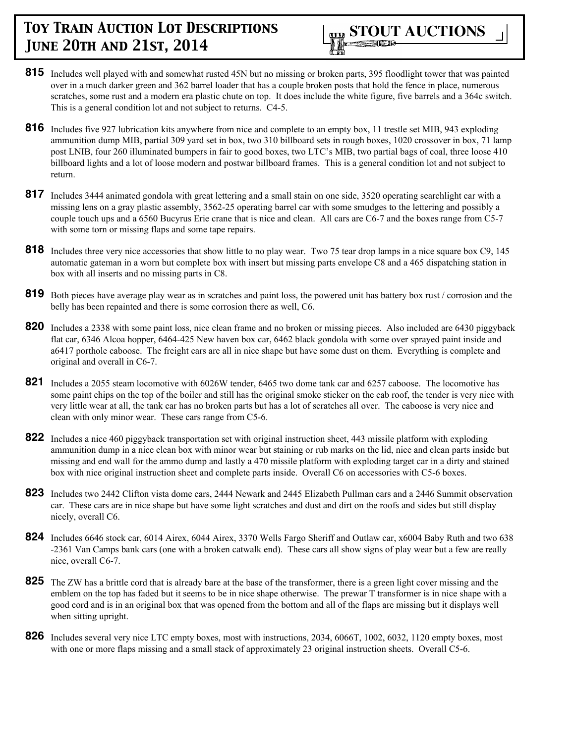

- **815** Includes well played with and somewhat rusted 45N but no missing or broken parts, 395 floodlight tower that was painted over in a much darker green and 362 barrel loader that has a couple broken posts that hold the fence in place, numerous scratches, some rust and a modern era plastic chute on top. It does include the white figure, five barrels and a 364c switch. This is a general condition lot and not subject to returns. C4-5.
- **816** Includes five 927 lubrication kits anywhere from nice and complete to an empty box, 11 trestle set MIB, 943 exploding ammunition dump MIB, partial 309 yard set in box, two 310 billboard sets in rough boxes, 1020 crossover in box, 71 lamp post LNIB, four 260 illuminated bumpers in fair to good boxes, two LTC's MIB, two partial bags of coal, three loose 410 billboard lights and a lot of loose modern and postwar billboard frames. This is a general condition lot and not subject to return.
- **817** Includes 3444 animated gondola with great lettering and a small stain on one side, 3520 operating searchlight car with a missing lens on a gray plastic assembly, 3562-25 operating barrel car with some smudges to the lettering and possibly a couple touch ups and a 6560 Bucyrus Erie crane that is nice and clean. All cars are C6-7 and the boxes range from C5-7 with some torn or missing flaps and some tape repairs.
- **818** Includes three very nice accessories that show little to no play wear. Two 75 tear drop lamps in a nice square box C9, 145 automatic gateman in a worn but complete box with insert but missing parts envelope C8 and a 465 dispatching station in box with all inserts and no missing parts in C8.
- **819** Both pieces have average play wear as in scratches and paint loss, the powered unit has battery box rust / corrosion and the belly has been repainted and there is some corrosion there as well, C6.
- **820** Includes a 2338 with some paint loss, nice clean frame and no broken or missing pieces. Also included are 6430 piggyback flat car, 6346 Alcoa hopper, 6464-425 New haven box car, 6462 black gondola with some over sprayed paint inside and a6417 porthole caboose. The freight cars are all in nice shape but have some dust on them. Everything is complete and original and overall in C6-7.
- **821** Includes a 2055 steam locomotive with 6026W tender, 6465 two dome tank car and 6257 caboose. The locomotive has some paint chips on the top of the boiler and still has the original smoke sticker on the cab roof, the tender is very nice with very little wear at all, the tank car has no broken parts but has a lot of scratches all over. The caboose is very nice and clean with only minor wear. These cars range from C5-6.
- **822** Includes a nice 460 piggyback transportation set with original instruction sheet, 443 missile platform with exploding ammunition dump in a nice clean box with minor wear but staining or rub marks on the lid, nice and clean parts inside but missing and end wall for the ammo dump and lastly a 470 missile platform with exploding target car in a dirty and stained box with nice original instruction sheet and complete parts inside. Overall C6 on accessories with C5-6 boxes.
- **823** Includes two 2442 Clifton vista dome cars, 2444 Newark and 2445 Elizabeth Pullman cars and a 2446 Summit observation car. These cars are in nice shape but have some light scratches and dust and dirt on the roofs and sides but still display nicely, overall C6.
- **824** Includes 6646 stock car, 6014 Airex, 6044 Airex, 3370 Wells Fargo Sheriff and Outlaw car, x6004 Baby Ruth and two 638 -2361 Van Camps bank cars (one with a broken catwalk end). These cars all show signs of play wear but a few are really nice, overall C6-7.
- **825** The ZW has a brittle cord that is already bare at the base of the transformer, there is a green light cover missing and the emblem on the top has faded but it seems to be in nice shape otherwise. The prewar T transformer is in nice shape with a good cord and is in an original box that was opened from the bottom and all of the flaps are missing but it displays well when sitting upright.
- **826** Includes several very nice LTC empty boxes, most with instructions, 2034, 6066T, 1002, 6032, 1120 empty boxes, most with one or more flaps missing and a small stack of approximately 23 original instruction sheets. Overall C5-6.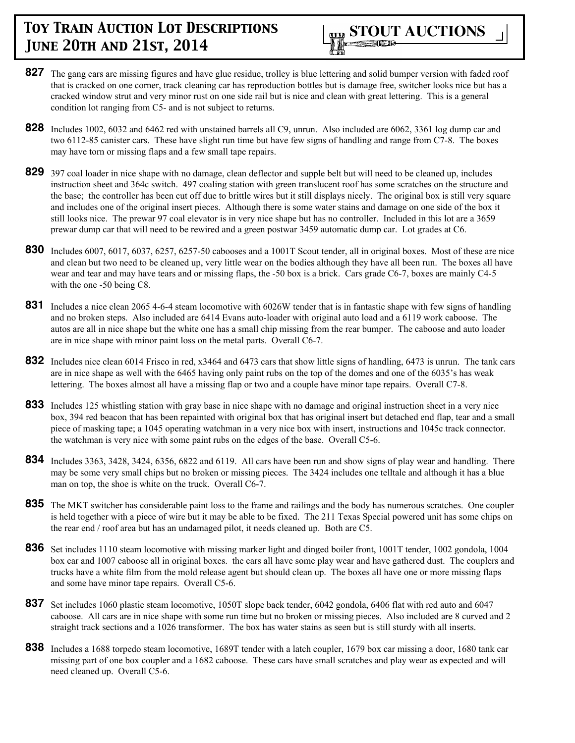

- **827** The gang cars are missing figures and have glue residue, trolley is blue lettering and solid bumper version with faded roof that is cracked on one corner, track cleaning car has reproduction bottles but is damage free, switcher looks nice but has a cracked window strut and very minor rust on one side rail but is nice and clean with great lettering. This is a general condition lot ranging from C5- and is not subject to returns.
- **828** Includes 1002, 6032 and 6462 red with unstained barrels all C9, unrun. Also included are 6062, 3361 log dump car and two 6112-85 canister cars. These have slight run time but have few signs of handling and range from C7-8. The boxes may have torn or missing flaps and a few small tape repairs.
- **829** 397 coal loader in nice shape with no damage, clean deflector and supple belt but will need to be cleaned up, includes instruction sheet and 364c switch. 497 coaling station with green translucent roof has some scratches on the structure and the base; the controller has been cut off due to brittle wires but it still displays nicely. The original box is still very square and includes one of the original insert pieces. Although there is some water stains and damage on one side of the box it still looks nice. The prewar 97 coal elevator is in very nice shape but has no controller. Included in this lot are a 3659 prewar dump car that will need to be rewired and a green postwar 3459 automatic dump car. Lot grades at C6.
- **830** Includes 6007, 6017, 6037, 6257, 6257-50 cabooses and a 1001T Scout tender, all in original boxes. Most of these are nice and clean but two need to be cleaned up, very little wear on the bodies although they have all been run. The boxes all have wear and tear and may have tears and or missing flaps, the -50 box is a brick. Cars grade C6-7, boxes are mainly C4-5 with the one -50 being C8.
- **831** Includes a nice clean 2065 4-6-4 steam locomotive with 6026W tender that is in fantastic shape with few signs of handling and no broken steps. Also included are 6414 Evans auto-loader with original auto load and a 6119 work caboose. The autos are all in nice shape but the white one has a small chip missing from the rear bumper. The caboose and auto loader are in nice shape with minor paint loss on the metal parts. Overall C6-7.
- **832** Includes nice clean 6014 Frisco in red, x3464 and 6473 cars that show little signs of handling, 6473 is unrun. The tank cars are in nice shape as well with the 6465 having only paint rubs on the top of the domes and one of the 6035's has weak lettering. The boxes almost all have a missing flap or two and a couple have minor tape repairs. Overall C7-8.
- **833** Includes 125 whistling station with gray base in nice shape with no damage and original instruction sheet in a very nice box, 394 red beacon that has been repainted with original box that has original insert but detached end flap, tear and a small piece of masking tape; a 1045 operating watchman in a very nice box with insert, instructions and 1045c track connector. the watchman is very nice with some paint rubs on the edges of the base. Overall C5-6.
- **834** Includes 3363, 3428, 3424, 6356, 6822 and 6119. All cars have been run and show signs of play wear and handling. There may be some very small chips but no broken or missing pieces. The 3424 includes one telltale and although it has a blue man on top, the shoe is white on the truck. Overall C6-7.
- **835** The MKT switcher has considerable paint loss to the frame and railings and the body has numerous scratches. One coupler is held together with a piece of wire but it may be able to be fixed. The 211 Texas Special powered unit has some chips on the rear end / roof area but has an undamaged pilot, it needs cleaned up. Both are C5.
- **836** Set includes 1110 steam locomotive with missing marker light and dinged boiler front, 1001T tender, 1002 gondola, 1004 box car and 1007 caboose all in original boxes. the cars all have some play wear and have gathered dust. The couplers and trucks have a white film from the mold release agent but should clean up. The boxes all have one or more missing flaps and some have minor tape repairs. Overall C5-6.
- **837** Set includes 1060 plastic steam locomotive, 1050T slope back tender, 6042 gondola, 6406 flat with red auto and 6047 caboose. All cars are in nice shape with some run time but no broken or missing pieces. Also included are 8 curved and 2 straight track sections and a 1026 transformer. The box has water stains as seen but is still sturdy with all inserts.
- **838** Includes a 1688 torpedo steam locomotive, 1689T tender with a latch coupler, 1679 box car missing a door, 1680 tank car missing part of one box coupler and a 1682 caboose. These cars have small scratches and play wear as expected and will need cleaned up. Overall C5-6.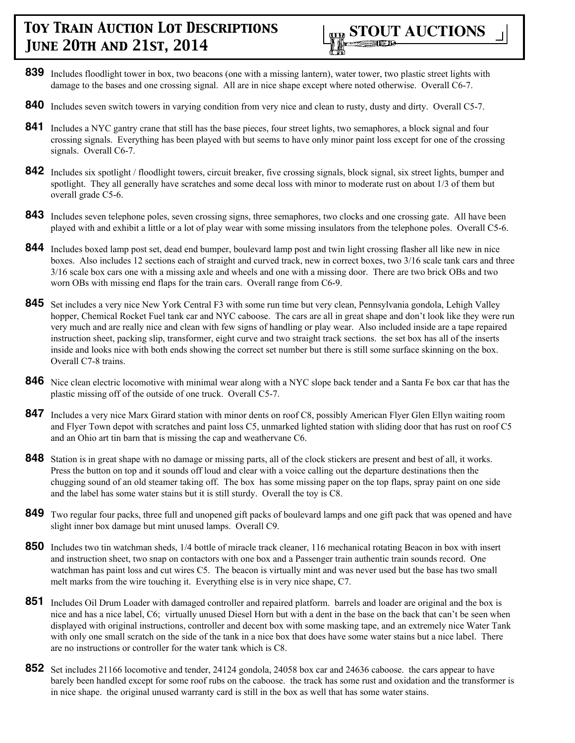

- **839** Includes floodlight tower in box, two beacons (one with a missing lantern), water tower, two plastic street lights with damage to the bases and one crossing signal. All are in nice shape except where noted otherwise. Overall C6-7.
- **840** Includes seven switch towers in varying condition from very nice and clean to rusty, dusty and dirty. Overall C5-7.
- 841 Includes a NYC gantry crane that still has the base pieces, four street lights, two semaphores, a block signal and four crossing signals. Everything has been played with but seems to have only minor paint loss except for one of the crossing signals. Overall C6-7.
- **842** Includes six spotlight / floodlight towers, circuit breaker, five crossing signals, block signal, six street lights, bumper and spotlight. They all generally have scratches and some decal loss with minor to moderate rust on about 1/3 of them but overall grade C5-6.
- **843** Includes seven telephone poles, seven crossing signs, three semaphores, two clocks and one crossing gate. All have been played with and exhibit a little or a lot of play wear with some missing insulators from the telephone poles. Overall C5-6.
- **844** Includes boxed lamp post set, dead end bumper, boulevard lamp post and twin light crossing flasher all like new in nice boxes. Also includes 12 sections each of straight and curved track, new in correct boxes, two 3/16 scale tank cars and three 3/16 scale box cars one with a missing axle and wheels and one with a missing door. There are two brick OBs and two worn OBs with missing end flaps for the train cars. Overall range from C6-9.
- **845** Set includes a very nice New York Central F3 with some run time but very clean, Pennsylvania gondola, Lehigh Valley hopper, Chemical Rocket Fuel tank car and NYC caboose. The cars are all in great shape and don't look like they were run very much and are really nice and clean with few signs of handling or play wear. Also included inside are a tape repaired instruction sheet, packing slip, transformer, eight curve and two straight track sections. the set box has all of the inserts inside and looks nice with both ends showing the correct set number but there is still some surface skinning on the box. Overall C7-8 trains.
- **846** Nice clean electric locomotive with minimal wear along with a NYC slope back tender and a Santa Fe box car that has the plastic missing off of the outside of one truck. Overall C5-7.
- **847** Includes a very nice Marx Girard station with minor dents on roof C8, possibly American Flyer Glen Ellyn waiting room and Flyer Town depot with scratches and paint loss C5, unmarked lighted station with sliding door that has rust on roof C5 and an Ohio art tin barn that is missing the cap and weathervane C6.
- **848** Station is in great shape with no damage or missing parts, all of the clock stickers are present and best of all, it works. Press the button on top and it sounds off loud and clear with a voice calling out the departure destinations then the chugging sound of an old steamer taking off. The box has some missing paper on the top flaps, spray paint on one side and the label has some water stains but it is still sturdy. Overall the toy is C8.
- **849** Two regular four packs, three full and unopened gift packs of boulevard lamps and one gift pack that was opened and have slight inner box damage but mint unused lamps. Overall C9.
- **850** Includes two tin watchman sheds, 1/4 bottle of miracle track cleaner, 116 mechanical rotating Beacon in box with insert and instruction sheet, two snap on contactors with one box and a Passenger train authentic train sounds record. One watchman has paint loss and cut wires C5. The beacon is virtually mint and was never used but the base has two small melt marks from the wire touching it. Everything else is in very nice shape, C7.
- **851** Includes Oil Drum Loader with damaged controller and repaired platform. barrels and loader are original and the box is nice and has a nice label, C6; virtually unused Diesel Horn but with a dent in the base on the back that can't be seen when displayed with original instructions, controller and decent box with some masking tape, and an extremely nice Water Tank with only one small scratch on the side of the tank in a nice box that does have some water stains but a nice label. There are no instructions or controller for the water tank which is C8.
- **852** Set includes 21166 locomotive and tender, 24124 gondola, 24058 box car and 24636 caboose. the cars appear to have barely been handled except for some roof rubs on the caboose. the track has some rust and oxidation and the transformer is in nice shape. the original unused warranty card is still in the box as well that has some water stains.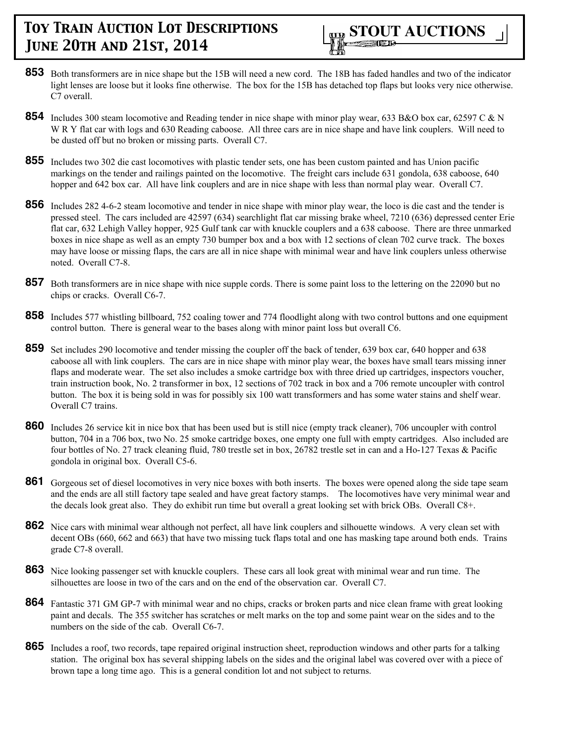

- **853** Both transformers are in nice shape but the 15B will need a new cord. The 18B has faded handles and two of the indicator light lenses are loose but it looks fine otherwise. The box for the 15B has detached top flaps but looks very nice otherwise. C7 overall.
- **854** Includes 300 steam locomotive and Reading tender in nice shape with minor play wear, 633 B&O box car, 62597 C & N W R Y flat car with logs and 630 Reading caboose. All three cars are in nice shape and have link couplers. Will need to be dusted off but no broken or missing parts. Overall C7.
- **855** Includes two 302 die cast locomotives with plastic tender sets, one has been custom painted and has Union pacific markings on the tender and railings painted on the locomotive. The freight cars include 631 gondola, 638 caboose, 640 hopper and 642 box car. All have link couplers and are in nice shape with less than normal play wear. Overall C7.
- **856** Includes 282 4-6-2 steam locomotive and tender in nice shape with minor play wear, the loco is die cast and the tender is pressed steel. The cars included are 42597 (634) searchlight flat car missing brake wheel, 7210 (636) depressed center Erie flat car, 632 Lehigh Valley hopper, 925 Gulf tank car with knuckle couplers and a 638 caboose. There are three unmarked boxes in nice shape as well as an empty 730 bumper box and a box with 12 sections of clean 702 curve track. The boxes may have loose or missing flaps, the cars are all in nice shape with minimal wear and have link couplers unless otherwise noted. Overall C7-8.
- **857** Both transformers are in nice shape with nice supple cords. There is some paint loss to the lettering on the 22090 but no chips or cracks. Overall C6-7.
- **858** Includes 577 whistling billboard, 752 coaling tower and 774 floodlight along with two control buttons and one equipment control button. There is general wear to the bases along with minor paint loss but overall C6.
- **859** Set includes 290 locomotive and tender missing the coupler off the back of tender, 639 box car, 640 hopper and 638 caboose all with link couplers. The cars are in nice shape with minor play wear, the boxes have small tears missing inner flaps and moderate wear. The set also includes a smoke cartridge box with three dried up cartridges, inspectors voucher, train instruction book, No. 2 transformer in box, 12 sections of 702 track in box and a 706 remote uncoupler with control button. The box it is being sold in was for possibly six 100 watt transformers and has some water stains and shelf wear. Overall C7 trains.
- **860** Includes 26 service kit in nice box that has been used but is still nice (empty track cleaner), 706 uncoupler with control button, 704 in a 706 box, two No. 25 smoke cartridge boxes, one empty one full with empty cartridges. Also included are four bottles of No. 27 track cleaning fluid, 780 trestle set in box, 26782 trestle set in can and a Ho-127 Texas & Pacific gondola in original box. Overall C5-6.
- 861 Gorgeous set of diesel locomotives in very nice boxes with both inserts. The boxes were opened along the side tape seam and the ends are all still factory tape sealed and have great factory stamps. The locomotives have very minimal wear and the decals look great also. They do exhibit run time but overall a great looking set with brick OBs. Overall C8+.
- **862** Nice cars with minimal wear although not perfect, all have link couplers and silhouette windows. A very clean set with decent OBs (660, 662 and 663) that have two missing tuck flaps total and one has masking tape around both ends. Trains grade C7-8 overall.
- **863** Nice looking passenger set with knuckle couplers. These cars all look great with minimal wear and run time. The silhouettes are loose in two of the cars and on the end of the observation car. Overall C7.
- **864** Fantastic 371 GM GP-7 with minimal wear and no chips, cracks or broken parts and nice clean frame with great looking paint and decals. The 355 switcher has scratches or melt marks on the top and some paint wear on the sides and to the numbers on the side of the cab. Overall C6-7.
- **865** Includes a roof, two records, tape repaired original instruction sheet, reproduction windows and other parts for a talking station. The original box has several shipping labels on the sides and the original label was covered over with a piece of brown tape a long time ago. This is a general condition lot and not subject to returns.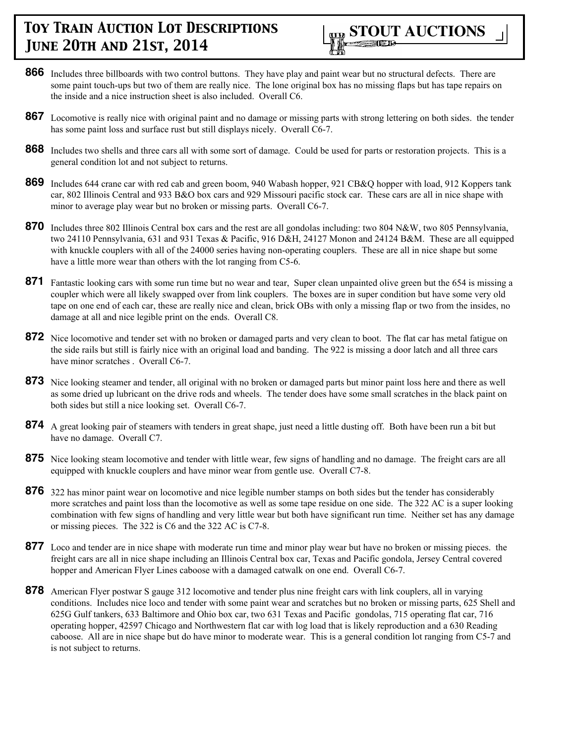

- **866** Includes three billboards with two control buttons. They have play and paint wear but no structural defects. There are some paint touch-ups but two of them are really nice. The lone original box has no missing flaps but has tape repairs on the inside and a nice instruction sheet is also included. Overall C6.
- **867** Locomotive is really nice with original paint and no damage or missing parts with strong lettering on both sides. the tender has some paint loss and surface rust but still displays nicely. Overall C6-7.
- **868** Includes two shells and three cars all with some sort of damage. Could be used for parts or restoration projects. This is a general condition lot and not subject to returns.
- **869** Includes 644 crane car with red cab and green boom, 940 Wabash hopper, 921 CB&O hopper with load, 912 Koppers tank car, 802 Illinois Central and 933 B&O box cars and 929 Missouri pacific stock car. These cars are all in nice shape with minor to average play wear but no broken or missing parts. Overall C6-7.
- **870** Includes three 802 Illinois Central box cars and the rest are all gondolas including: two 804 N&W, two 805 Pennsylvania, two 24110 Pennsylvania, 631 and 931 Texas & Pacific, 916 D&H, 24127 Monon and 24124 B&M. These are all equipped with knuckle couplers with all of the 24000 series having non-operating couplers. These are all in nice shape but some have a little more wear than others with the lot ranging from C5-6.
- **871** Fantastic looking cars with some run time but no wear and tear, Super clean unpainted olive green but the 654 is missing a coupler which were all likely swapped over from link couplers. The boxes are in super condition but have some very old tape on one end of each car, these are really nice and clean, brick OBs with only a missing flap or two from the insides, no damage at all and nice legible print on the ends. Overall C8.
- **872** Nice locomotive and tender set with no broken or damaged parts and very clean to boot. The flat car has metal fatigue on the side rails but still is fairly nice with an original load and banding. The 922 is missing a door latch and all three cars have minor scratches . Overall C6-7.
- **873** Nice looking steamer and tender, all original with no broken or damaged parts but minor paint loss here and there as well as some dried up lubricant on the drive rods and wheels. The tender does have some small scratches in the black paint on both sides but still a nice looking set. Overall C6-7.
- **874** A great looking pair of steamers with tenders in great shape, just need a little dusting off. Both have been run a bit but have no damage. Overall C7.
- **875** Nice looking steam locomotive and tender with little wear, few signs of handling and no damage. The freight cars are all equipped with knuckle couplers and have minor wear from gentle use. Overall C7-8.
- **876** 322 has minor paint wear on locomotive and nice legible number stamps on both sides but the tender has considerably more scratches and paint loss than the locomotive as well as some tape residue on one side. The 322 AC is a super looking combination with few signs of handling and very little wear but both have significant run time. Neither set has any damage or missing pieces. The 322 is C6 and the 322 AC is C7-8.
- **877** Loco and tender are in nice shape with moderate run time and minor play wear but have no broken or missing pieces. the freight cars are all in nice shape including an Illinois Central box car, Texas and Pacific gondola, Jersey Central covered hopper and American Flyer Lines caboose with a damaged catwalk on one end. Overall C6-7.
- **878** American Flyer postwar S gauge 312 locomotive and tender plus nine freight cars with link couplers, all in varying conditions. Includes nice loco and tender with some paint wear and scratches but no broken or missing parts, 625 Shell and 625G Gulf tankers, 633 Baltimore and Ohio box car, two 631 Texas and Pacific gondolas, 715 operating flat car, 716 operating hopper, 42597 Chicago and Northwestern flat car with log load that is likely reproduction and a 630 Reading caboose. All are in nice shape but do have minor to moderate wear. This is a general condition lot ranging from C5-7 and is not subject to returns.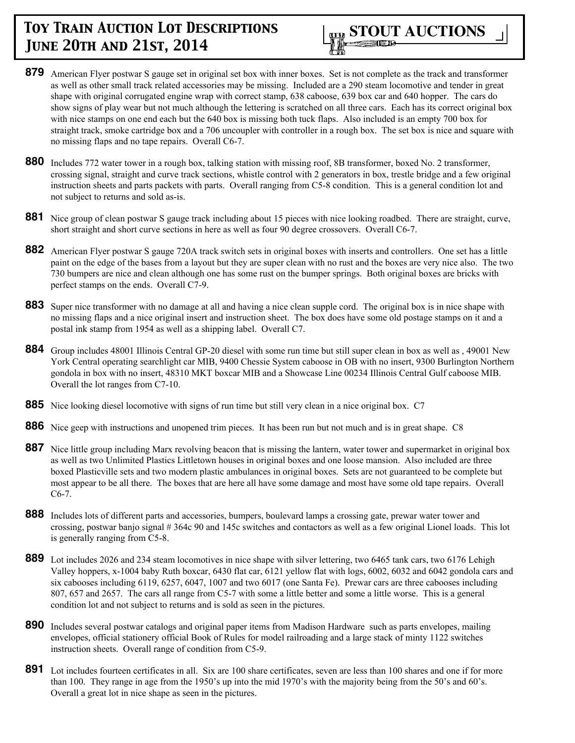

- **879** American Flyer postwar S gauge set in original set box with inner boxes. Set is not complete as the track and transformer as well as other small track related accessories may be missing. Included are a 290 steam locomotive and tender in great shape with original corrugated engine wrap with correct stamp, 638 caboose, 639 box car and 640 hopper. The cars do show signs of play wear but not much although the lettering is scratched on all three cars. Each has its correct original box with nice stamps on one end each but the 640 box is missing both tuck flaps. Also included is an empty 700 box for straight track, smoke cartridge box and a 706 uncoupler with controller in a rough box. The set box is nice and square with no missing flaps and no tape repairs. Overall C6-7.
- **880** Includes 772 water tower in a rough box, talking station with missing roof, 8B transformer, boxed No. 2 transformer, crossing signal, straight and curve track sections, whistle control with 2 generators in box, trestle bridge and a few original instruction sheets and parts packets with parts. Overall ranging from C5-8 condition. This is a general condition lot and not subject to returns and sold as-is.
- 881 Nice group of clean postwar S gauge track including about 15 pieces with nice looking roadbed. There are straight, curve, short straight and short curve sections in here as well as four 90 degree crossovers. Overall C6-7.
- **882** American Flyer postwar S gauge 720A track switch sets in original boxes with inserts and controllers. One set has a little paint on the edge of the bases from a layout but they are super clean with no rust and the boxes are very nice also. The two 730 bumpers are nice and clean although one has some rust on the bumper springs. Both original boxes are bricks with perfect stamps on the ends. Overall C7-9.
- **883** Super nice transformer with no damage at all and having a nice clean supple cord. The original box is in nice shape with no missing flaps and a nice original insert and instruction sheet. The box does have some old postage stamps on it and a postal ink stamp from 1954 as well as a shipping label. Overall C7.
- **884** Group includes 48001 Illinois Central GP-20 diesel with some run time but still super clean in box as well as , 49001 New York Central operating searchlight car MIB, 9400 Chessie System caboose in OB with no insert, 9300 Burlington Northern gondola in box with no insert, 48310 MKT boxcar MIB and a Showcase Line 00234 Illinois Central Gulf caboose MIB. Overall the lot ranges from C7-10.
- **885** Nice looking diesel locomotive with signs of run time but still very clean in a nice original box. C7
- **886** Nice geep with instructions and unopened trim pieces. It has been run but not much and is in great shape. C8
- **887** Nice little group including Marx revolving beacon that is missing the lantern, water tower and supermarket in original box as well as two Unlimited Plastics Littletown houses in original boxes and one loose mansion. Also included are three boxed Plasticville sets and two modern plastic ambulances in original boxes. Sets are not guaranteed to be complete but most appear to be all there. The boxes that are here all have some damage and most have some old tape repairs. Overall C6-7.
- **888** Includes lots of different parts and accessories, bumpers, boulevard lamps a crossing gate, prewar water tower and crossing, postwar banjo signal # 364c 90 and 145c switches and contactors as well as a few original Lionel loads. This lot is generally ranging from C5-8.
- **889** Lot includes 2026 and 234 steam locomotives in nice shape with silver lettering, two 6465 tank cars, two 6176 Lehigh Valley hoppers, x-1004 baby Ruth boxcar, 6430 flat car, 6121 yellow flat with logs, 6002, 6032 and 6042 gondola cars and six cabooses including 6119, 6257, 6047, 1007 and two 6017 (one Santa Fe). Prewar cars are three cabooses including 807, 657 and 2657. The cars all range from C5-7 with some a little better and some a little worse. This is a general condition lot and not subject to returns and is sold as seen in the pictures.
- **890** Includes several postwar catalogs and original paper items from Madison Hardware such as parts envelopes, mailing envelopes, official stationery official Book of Rules for model railroading and a large stack of minty 1122 switches instruction sheets. Overall range of condition from C5-9.
- **891** Lot includes fourteen certificates in all. Six are 100 share certificates, seven are less than 100 shares and one if for more than 100. They range in age from the 1950's up into the mid 1970's with the majority being from the 50's and 60's. Overall a great lot in nice shape as seen in the pictures.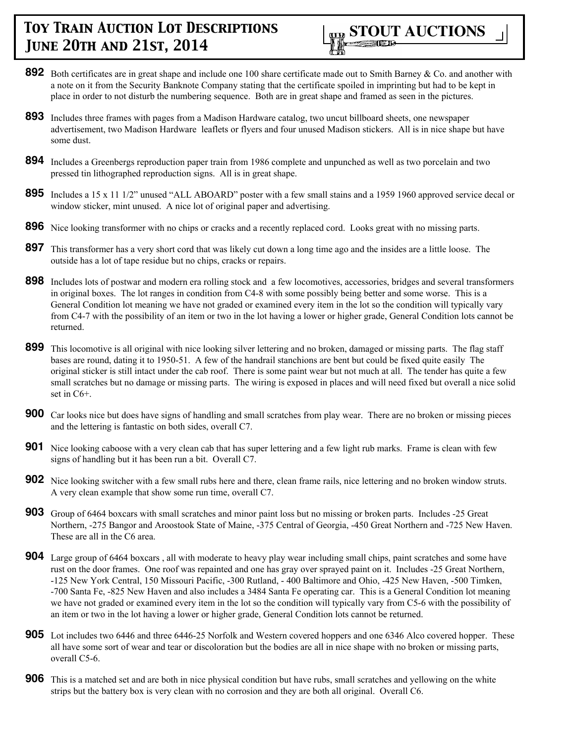

- **892** Both certificates are in great shape and include one 100 share certificate made out to Smith Barney & Co. and another with a note on it from the Security Banknote Company stating that the certificate spoiled in imprinting but had to be kept in place in order to not disturb the numbering sequence. Both are in great shape and framed as seen in the pictures.
- **893** Includes three frames with pages from a Madison Hardware catalog, two uncut billboard sheets, one newspaper advertisement, two Madison Hardware leaflets or flyers and four unused Madison stickers. All is in nice shape but have some dust.
- **894** Includes a Greenbergs reproduction paper train from 1986 complete and unpunched as well as two porcelain and two pressed tin lithographed reproduction signs. All is in great shape.
- **895** Includes a 15 x 11 1/2" unused "ALL ABOARD" poster with a few small stains and a 1959 1960 approved service decal or window sticker, mint unused. A nice lot of original paper and advertising.
- **896** Nice looking transformer with no chips or cracks and a recently replaced cord. Looks great with no missing parts.
- **897** This transformer has a very short cord that was likely cut down a long time ago and the insides are a little loose. The outside has a lot of tape residue but no chips, cracks or repairs.
- **898** Includes lots of postwar and modern era rolling stock and a few locomotives, accessories, bridges and several transformers in original boxes. The lot ranges in condition from C4-8 with some possibly being better and some worse. This is a General Condition lot meaning we have not graded or examined every item in the lot so the condition will typically vary from C4-7 with the possibility of an item or two in the lot having a lower or higher grade, General Condition lots cannot be returned.
- **899** This locomotive is all original with nice looking silver lettering and no broken, damaged or missing parts. The flag staff bases are round, dating it to 1950-51. A few of the handrail stanchions are bent but could be fixed quite easily The original sticker is still intact under the cab roof. There is some paint wear but not much at all. The tender has quite a few small scratches but no damage or missing parts. The wiring is exposed in places and will need fixed but overall a nice solid set in C6+.
- **900** Car looks nice but does have signs of handling and small scratches from play wear. There are no broken or missing pieces and the lettering is fantastic on both sides, overall C7.
- **901** Nice looking caboose with a very clean cab that has super lettering and a few light rub marks. Frame is clean with few signs of handling but it has been run a bit. Overall C7.
- **902** Nice looking switcher with a few small rubs here and there, clean frame rails, nice lettering and no broken window struts. A very clean example that show some run time, overall C7.
- **903** Group of 6464 boxcars with small scratches and minor paint loss but no missing or broken parts. Includes -25 Great Northern, -275 Bangor and Aroostook State of Maine, -375 Central of Georgia, -450 Great Northern and -725 New Haven. These are all in the C6 area.
- **904** Large group of 6464 boxcars , all with moderate to heavy play wear including small chips, paint scratches and some have rust on the door frames. One roof was repainted and one has gray over sprayed paint on it. Includes -25 Great Northern, -125 New York Central, 150 Missouri Pacific, -300 Rutland, - 400 Baltimore and Ohio, -425 New Haven, -500 Timken, -700 Santa Fe, -825 New Haven and also includes a 3484 Santa Fe operating car. This is a General Condition lot meaning we have not graded or examined every item in the lot so the condition will typically vary from C5-6 with the possibility of an item or two in the lot having a lower or higher grade, General Condition lots cannot be returned.
- **905** Lot includes two 6446 and three 6446-25 Norfolk and Western covered hoppers and one 6346 Alco covered hopper. These all have some sort of wear and tear or discoloration but the bodies are all in nice shape with no broken or missing parts, overall C5-6.
- **906** This is a matched set and are both in nice physical condition but have rubs, small scratches and yellowing on the white strips but the battery box is very clean with no corrosion and they are both all original. Overall C6.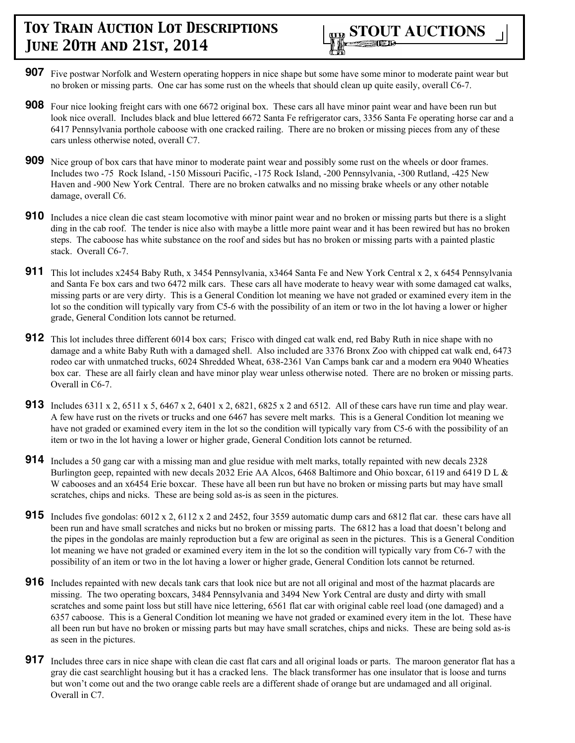

- **907** Five postwar Norfolk and Western operating hoppers in nice shape but some have some minor to moderate paint wear but no broken or missing parts. One car has some rust on the wheels that should clean up quite easily, overall C6-7.
- **908** Four nice looking freight cars with one 6672 original box. These cars all have minor paint wear and have been run but look nice overall. Includes black and blue lettered 6672 Santa Fe refrigerator cars, 3356 Santa Fe operating horse car and a 6417 Pennsylvania porthole caboose with one cracked railing. There are no broken or missing pieces from any of these cars unless otherwise noted, overall C7.
- **909** Nice group of box cars that have minor to moderate paint wear and possibly some rust on the wheels or door frames. Includes two -75 Rock Island, -150 Missouri Pacific, -175 Rock Island, -200 Pennsylvania, -300 Rutland, -425 New Haven and -900 New York Central. There are no broken catwalks and no missing brake wheels or any other notable damage, overall C6.
- **910** Includes a nice clean die cast steam locomotive with minor paint wear and no broken or missing parts but there is a slight ding in the cab roof. The tender is nice also with maybe a little more paint wear and it has been rewired but has no broken steps. The caboose has white substance on the roof and sides but has no broken or missing parts with a painted plastic stack. Overall C6-7.
- **911** This lot includes x2454 Baby Ruth, x 3454 Pennsylvania, x3464 Santa Fe and New York Central x 2, x 6454 Pennsylvania and Santa Fe box cars and two 6472 milk cars. These cars all have moderate to heavy wear with some damaged cat walks, missing parts or are very dirty. This is a General Condition lot meaning we have not graded or examined every item in the lot so the condition will typically vary from C5-6 with the possibility of an item or two in the lot having a lower or higher grade, General Condition lots cannot be returned.
- **912** This lot includes three different 6014 box cars; Frisco with dinged cat walk end, red Baby Ruth in nice shape with no damage and a white Baby Ruth with a damaged shell. Also included are 3376 Bronx Zoo with chipped cat walk end, 6473 rodeo car with unmatched trucks, 6024 Shredded Wheat, 638-2361 Van Camps bank car and a modern era 9040 Wheaties box car. These are all fairly clean and have minor play wear unless otherwise noted. There are no broken or missing parts. Overall in C6-7.
- **913** Includes 6311 x 2, 6511 x 5, 6467 x 2, 6401 x 2, 6821, 6825 x 2 and 6512. All of these cars have run time and play wear. A few have rust on the rivets or trucks and one 6467 has severe melt marks. This is a General Condition lot meaning we have not graded or examined every item in the lot so the condition will typically vary from C5-6 with the possibility of an item or two in the lot having a lower or higher grade, General Condition lots cannot be returned.
- **914** Includes a 50 gang car with a missing man and glue residue with melt marks, totally repainted with new decals 2328 Burlington geep, repainted with new decals 2032 Erie AA Alcos, 6468 Baltimore and Ohio boxcar, 6119 and 6419 D L & W cabooses and an x6454 Erie boxcar. These have all been run but have no broken or missing parts but may have small scratches, chips and nicks. These are being sold as-is as seen in the pictures.
- **915** Includes five gondolas: 6012 x 2, 6112 x 2 and 2452, four 3559 automatic dump cars and 6812 flat car. these cars have all been run and have small scratches and nicks but no broken or missing parts. The 6812 has a load that doesn't belong and the pipes in the gondolas are mainly reproduction but a few are original as seen in the pictures. This is a General Condition lot meaning we have not graded or examined every item in the lot so the condition will typically vary from C6-7 with the possibility of an item or two in the lot having a lower or higher grade, General Condition lots cannot be returned.
- **916** Includes repainted with new decals tank cars that look nice but are not all original and most of the hazmat placards are missing. The two operating boxcars, 3484 Pennsylvania and 3494 New York Central are dusty and dirty with small scratches and some paint loss but still have nice lettering, 6561 flat car with original cable reel load (one damaged) and a 6357 caboose. This is a General Condition lot meaning we have not graded or examined every item in the lot. These have all been run but have no broken or missing parts but may have small scratches, chips and nicks. These are being sold as-is as seen in the pictures.
- **917** Includes three cars in nice shape with clean die cast flat cars and all original loads or parts. The maroon generator flat has a gray die cast searchlight housing but it has a cracked lens. The black transformer has one insulator that is loose and turns but won't come out and the two orange cable reels are a different shade of orange but are undamaged and all original. Overall in C7.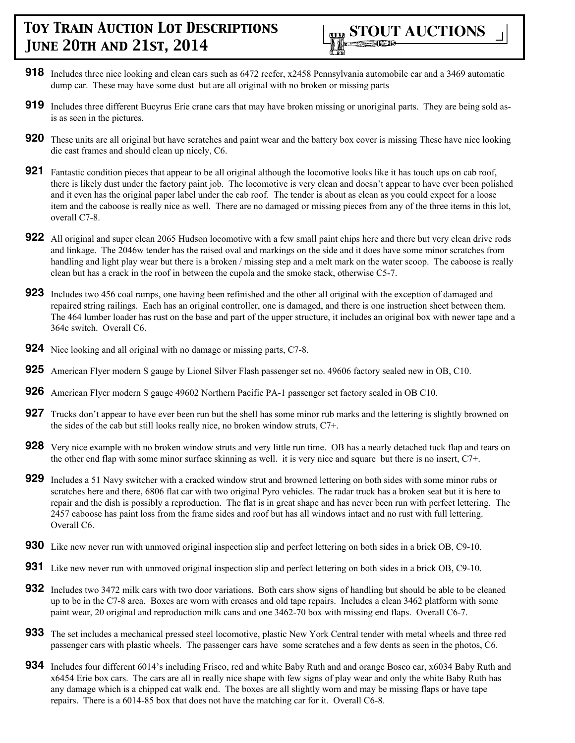- **918** Includes three nice looking and clean cars such as 6472 reefer, x2458 Pennsylvania automobile car and a 3469 automatic dump car. These may have some dust but are all original with no broken or missing parts
- **919** Includes three different Bucyrus Erie crane cars that may have broken missing or unoriginal parts. They are being sold asis as seen in the pictures.
- **920** These units are all original but have scratches and paint wear and the battery box cover is missing These have nice looking die cast frames and should clean up nicely, C6.
- **921** Fantastic condition pieces that appear to be all original although the locomotive looks like it has touch ups on cab roof, there is likely dust under the factory paint job. The locomotive is very clean and doesn't appear to have ever been polished and it even has the original paper label under the cab roof. The tender is about as clean as you could expect for a loose item and the caboose is really nice as well. There are no damaged or missing pieces from any of the three items in this lot, overall C7-8.
- **922** All original and super clean 2065 Hudson locomotive with a few small paint chips here and there but very clean drive rods and linkage. The 2046w tender has the raised oval and markings on the side and it does have some minor scratches from handling and light play wear but there is a broken / missing step and a melt mark on the water scoop. The caboose is really clean but has a crack in the roof in between the cupola and the smoke stack, otherwise C5-7.
- **923** Includes two 456 coal ramps, one having been refinished and the other all original with the exception of damaged and repaired string railings. Each has an original controller, one is damaged, and there is one instruction sheet between them. The 464 lumber loader has rust on the base and part of the upper structure, it includes an original box with newer tape and a 364c switch. Overall C6.
- **924** Nice looking and all original with no damage or missing parts, C7-8.
- **925** American Flyer modern S gauge by Lionel Silver Flash passenger set no. 49606 factory sealed new in OB, C10.
- **926** American Flyer modern S gauge 49602 Northern Pacific PA-1 passenger set factory sealed in OB C10.
- **927** Trucks don't appear to have ever been run but the shell has some minor rub marks and the lettering is slightly browned on the sides of the cab but still looks really nice, no broken window struts, C7+.
- **928** Very nice example with no broken window struts and very little run time. OB has a nearly detached tuck flap and tears on the other end flap with some minor surface skinning as well. it is very nice and square but there is no insert, C7+.
- **929** Includes a 51 Navy switcher with a cracked window strut and browned lettering on both sides with some minor rubs or scratches here and there, 6806 flat car with two original Pyro vehicles. The radar truck has a broken seat but it is here to repair and the dish is possibly a reproduction. The flat is in great shape and has never been run with perfect lettering. The 2457 caboose has paint loss from the frame sides and roof but has all windows intact and no rust with full lettering. Overall C6.
- **930** Like new never run with unmoved original inspection slip and perfect lettering on both sides in a brick OB, C9-10.
- **931** Like new never run with unmoved original inspection slip and perfect lettering on both sides in a brick OB, C9-10.
- **932** Includes two 3472 milk cars with two door variations. Both cars show signs of handling but should be able to be cleaned up to be in the C7-8 area. Boxes are worn with creases and old tape repairs. Includes a clean 3462 platform with some paint wear, 20 original and reproduction milk cans and one 3462-70 box with missing end flaps. Overall C6-7.
- **933** The set includes a mechanical pressed steel locomotive, plastic New York Central tender with metal wheels and three red passenger cars with plastic wheels. The passenger cars have some scratches and a few dents as seen in the photos, C6.
- **934** Includes four different 6014's including Frisco, red and white Baby Ruth and and orange Bosco car, x6034 Baby Ruth and x6454 Erie box cars. The cars are all in really nice shape with few signs of play wear and only the white Baby Ruth has any damage which is a chipped cat walk end. The boxes are all slightly worn and may be missing flaps or have tape repairs. There is a 6014-85 box that does not have the matching car for it. Overall C6-8.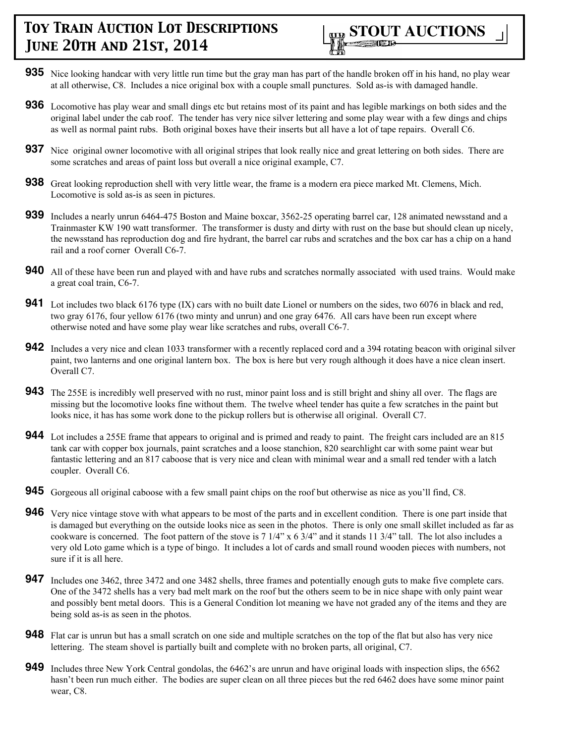

- **935** Nice looking handcar with very little run time but the gray man has part of the handle broken off in his hand, no play wear at all otherwise, C8. Includes a nice original box with a couple small punctures. Sold as-is with damaged handle.
- **936** Locomotive has play wear and small dings etc but retains most of its paint and has legible markings on both sides and the original label under the cab roof. The tender has very nice silver lettering and some play wear with a few dings and chips as well as normal paint rubs. Both original boxes have their inserts but all have a lot of tape repairs. Overall C6.
- **937** Nice original owner locomotive with all original stripes that look really nice and great lettering on both sides. There are some scratches and areas of paint loss but overall a nice original example, C7.
- **938** Great looking reproduction shell with very little wear, the frame is a modern era piece marked Mt. Clemens, Mich. Locomotive is sold as-is as seen in pictures.
- **939** Includes a nearly unrun 6464-475 Boston and Maine boxcar, 3562-25 operating barrel car, 128 animated newsstand and a Trainmaster KW 190 watt transformer. The transformer is dusty and dirty with rust on the base but should clean up nicely, the newsstand has reproduction dog and fire hydrant, the barrel car rubs and scratches and the box car has a chip on a hand rail and a roof corner Overall C6-7.
- **940** All of these have been run and played with and have rubs and scratches normally associated with used trains. Would make a great coal train, C6-7.
- **941** Lot includes two black 6176 type (IX) cars with no built date Lionel or numbers on the sides, two 6076 in black and red, two gray 6176, four yellow 6176 (two minty and unrun) and one gray 6476. All cars have been run except where otherwise noted and have some play wear like scratches and rubs, overall C6-7.
- **942** Includes a very nice and clean 1033 transformer with a recently replaced cord and a 394 rotating beacon with original silver paint, two lanterns and one original lantern box. The box is here but very rough although it does have a nice clean insert. Overall C7.
- **943** The 255E is incredibly well preserved with no rust, minor paint loss and is still bright and shiny all over. The flags are missing but the locomotive looks fine without them. The twelve wheel tender has quite a few scratches in the paint but looks nice, it has has some work done to the pickup rollers but is otherwise all original. Overall C7.
- **944** Lot includes a 255E frame that appears to original and is primed and ready to paint. The freight cars included are an 815 tank car with copper box journals, paint scratches and a loose stanchion, 820 searchlight car with some paint wear but fantastic lettering and an 817 caboose that is very nice and clean with minimal wear and a small red tender with a latch coupler. Overall C6.
- **945** Gorgeous all original caboose with a few small paint chips on the roof but otherwise as nice as you'll find, C8.
- **946** Very nice vintage stove with what appears to be most of the parts and in excellent condition. There is one part inside that is damaged but everything on the outside looks nice as seen in the photos. There is only one small skillet included as far as cookware is concerned. The foot pattern of the stove is 7 1/4" x 6 3/4" and it stands 11 3/4" tall. The lot also includes a very old Loto game which is a type of bingo. It includes a lot of cards and small round wooden pieces with numbers, not sure if it is all here.
- **947** Includes one 3462, three 3472 and one 3482 shells, three frames and potentially enough guts to make five complete cars. One of the 3472 shells has a very bad melt mark on the roof but the others seem to be in nice shape with only paint wear and possibly bent metal doors. This is a General Condition lot meaning we have not graded any of the items and they are being sold as-is as seen in the photos.
- **948** Flat car is unrun but has a small scratch on one side and multiple scratches on the top of the flat but also has very nice lettering. The steam shovel is partially built and complete with no broken parts, all original, C7.
- **949** Includes three New York Central gondolas, the 6462's are unrun and have original loads with inspection slips, the 6562 hasn't been run much either. The bodies are super clean on all three pieces but the red 6462 does have some minor paint wear, C8.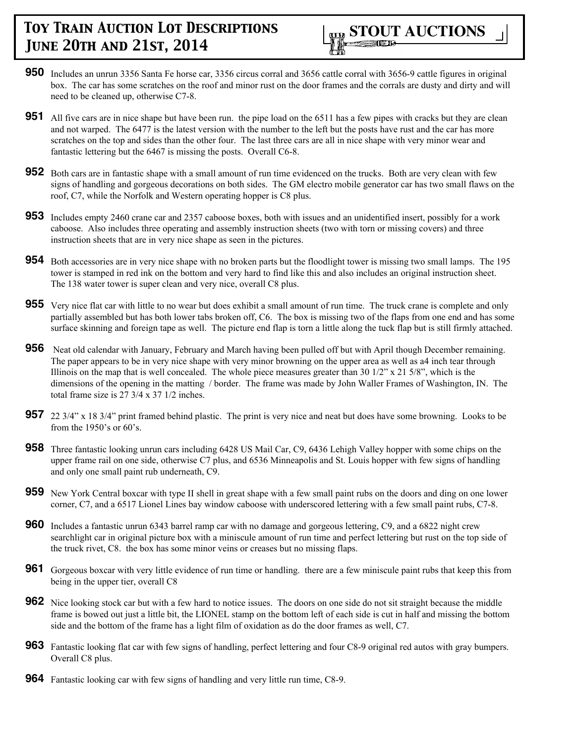

- **950** Includes an unrun 3356 Santa Fe horse car, 3356 circus corral and 3656 cattle corral with 3656-9 cattle figures in original box. The car has some scratches on the roof and minor rust on the door frames and the corrals are dusty and dirty and will need to be cleaned up, otherwise C7-8.
- **951** All five cars are in nice shape but have been run. the pipe load on the 6511 has a few pipes with cracks but they are clean and not warped. The 6477 is the latest version with the number to the left but the posts have rust and the car has more scratches on the top and sides than the other four. The last three cars are all in nice shape with very minor wear and fantastic lettering but the 6467 is missing the posts. Overall C6-8.
- **952** Both cars are in fantastic shape with a small amount of run time evidenced on the trucks. Both are very clean with few signs of handling and gorgeous decorations on both sides. The GM electro mobile generator car has two small flaws on the roof, C7, while the Norfolk and Western operating hopper is C8 plus.
- **953** Includes empty 2460 crane car and 2357 caboose boxes, both with issues and an unidentified insert, possibly for a work caboose. Also includes three operating and assembly instruction sheets (two with torn or missing covers) and three instruction sheets that are in very nice shape as seen in the pictures.
- **954** Both accessories are in very nice shape with no broken parts but the floodlight tower is missing two small lamps. The 195 tower is stamped in red ink on the bottom and very hard to find like this and also includes an original instruction sheet. The 138 water tower is super clean and very nice, overall C8 plus.
- **955** Very nice flat car with little to no wear but does exhibit a small amount of run time. The truck crane is complete and only partially assembled but has both lower tabs broken off, C6. The box is missing two of the flaps from one end and has some surface skinning and foreign tape as well. The picture end flap is torn a little along the tuck flap but is still firmly attached.
- **956** Neat old calendar with January, February and March having been pulled off but with April though December remaining. The paper appears to be in very nice shape with very minor browning on the upper area as well as a4 inch tear through Illinois on the map that is well concealed. The whole piece measures greater than 30 1/2" x 21 5/8", which is the dimensions of the opening in the matting / border. The frame was made by John Waller Frames of Washington, IN. The total frame size is 27 3/4 x 37 1/2 inches.
- **957** 22 3/4" x 18 3/4" print framed behind plastic. The print is very nice and neat but does have some browning. Looks to be from the 1950's or 60's.
- **958** Three fantastic looking unrun cars including 6428 US Mail Car, C9, 6436 Lehigh Valley hopper with some chips on the upper frame rail on one side, otherwise C7 plus, and 6536 Minneapolis and St. Louis hopper with few signs of handling and only one small paint rub underneath, C9.
- **959** New York Central boxcar with type II shell in great shape with a few small paint rubs on the doors and ding on one lower corner, C7, and a 6517 Lionel Lines bay window caboose with underscored lettering with a few small paint rubs, C7-8.
- **960** Includes a fantastic unrun 6343 barrel ramp car with no damage and gorgeous lettering, C9, and a 6822 night crew searchlight car in original picture box with a miniscule amount of run time and perfect lettering but rust on the top side of the truck rivet, C8. the box has some minor veins or creases but no missing flaps.
- **961** Gorgeous boxcar with very little evidence of run time or handling. there are a few miniscule paint rubs that keep this from being in the upper tier, overall C8
- **962** Nice looking stock car but with a few hard to notice issues. The doors on one side do not sit straight because the middle frame is bowed out just a little bit, the LIONEL stamp on the bottom left of each side is cut in half and missing the bottom side and the bottom of the frame has a light film of oxidation as do the door frames as well, C7.
- **963** Fantastic looking flat car with few signs of handling, perfect lettering and four C8-9 original red autos with gray bumpers. Overall C8 plus.
- **964** Fantastic looking car with few signs of handling and very little run time, C8-9.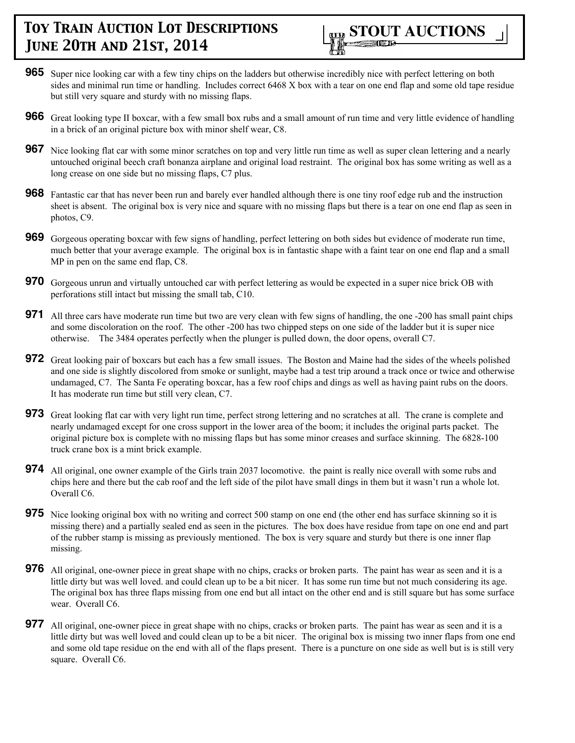

- **965** Super nice looking car with a few tiny chips on the ladders but otherwise incredibly nice with perfect lettering on both sides and minimal run time or handling. Includes correct 6468 X box with a tear on one end flap and some old tape residue but still very square and sturdy with no missing flaps.
- **966** Great looking type II boxcar, with a few small box rubs and a small amount of run time and very little evidence of handling in a brick of an original picture box with minor shelf wear, C8.
- **967** Nice looking flat car with some minor scratches on top and very little run time as well as super clean lettering and a nearly untouched original beech craft bonanza airplane and original load restraint. The original box has some writing as well as a long crease on one side but no missing flaps, C7 plus.
- **968** Fantastic car that has never been run and barely ever handled although there is one tiny roof edge rub and the instruction sheet is absent. The original box is very nice and square with no missing flaps but there is a tear on one end flap as seen in photos, C9.
- **969** Gorgeous operating boxcar with few signs of handling, perfect lettering on both sides but evidence of moderate run time, much better that your average example. The original box is in fantastic shape with a faint tear on one end flap and a small MP in pen on the same end flap, C8.
- **970** Gorgeous unrun and virtually untouched car with perfect lettering as would be expected in a super nice brick OB with perforations still intact but missing the small tab, C10.
- **971** All three cars have moderate run time but two are very clean with few signs of handling, the one -200 has small paint chips and some discoloration on the roof. The other -200 has two chipped steps on one side of the ladder but it is super nice otherwise. The 3484 operates perfectly when the plunger is pulled down, the door opens, overall C7.
- **972** Great looking pair of boxcars but each has a few small issues. The Boston and Maine had the sides of the wheels polished and one side is slightly discolored from smoke or sunlight, maybe had a test trip around a track once or twice and otherwise undamaged, C7. The Santa Fe operating boxcar, has a few roof chips and dings as well as having paint rubs on the doors. It has moderate run time but still very clean, C7.
- **973** Great looking flat car with very light run time, perfect strong lettering and no scratches at all. The crane is complete and nearly undamaged except for one cross support in the lower area of the boom; it includes the original parts packet. The original picture box is complete with no missing flaps but has some minor creases and surface skinning. The 6828-100 truck crane box is a mint brick example.
- **974** All original, one owner example of the Girls train 2037 locomotive. the paint is really nice overall with some rubs and chips here and there but the cab roof and the left side of the pilot have small dings in them but it wasn't run a whole lot. Overall C6.
- **975** Nice looking original box with no writing and correct 500 stamp on one end (the other end has surface skinning so it is missing there) and a partially sealed end as seen in the pictures. The box does have residue from tape on one end and part of the rubber stamp is missing as previously mentioned. The box is very square and sturdy but there is one inner flap missing.
- **976** All original, one-owner piece in great shape with no chips, cracks or broken parts. The paint has wear as seen and it is a little dirty but was well loved. and could clean up to be a bit nicer. It has some run time but not much considering its age. The original box has three flaps missing from one end but all intact on the other end and is still square but has some surface wear. Overall C6.
- **977** All original, one-owner piece in great shape with no chips, cracks or broken parts. The paint has wear as seen and it is a little dirty but was well loved and could clean up to be a bit nicer. The original box is missing two inner flaps from one end and some old tape residue on the end with all of the flaps present. There is a puncture on one side as well but is is still very square. Overall C6.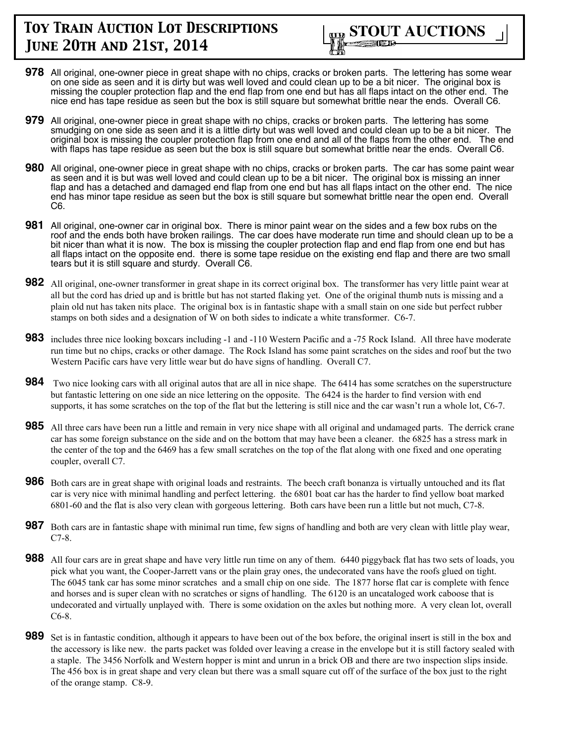

- **978** All original, one-owner piece in great shape with no chips, cracks or broken parts. The lettering has some wear on one side as seen and it is dirty but was well loved and could clean up to be a bit nicer. The original box is missing the coupler protection flap and the end flap from one end but has all flaps intact on the other end. The nice end has tape residue as seen but the box is still square but somewhat brittle near the ends. Overall C6.
- **979** All original, one-owner piece in great shape with no chips, cracks or broken parts. The lettering has some smudging on one side as seen and it is a little dirty but was well loved and could clean up to be a bit nicer. The original box is missing the coupler protection flap from one end and all of the flaps from the other end. The end with flaps has tape residue as seen but the box is still square but somewhat brittle near the ends. Overall C6.
- **980** All original, one-owner piece in great shape with no chips, cracks or broken parts. The car has some paint wear as seen and it is but was well loved and could clean up to be a bit nicer. The original box is missing an inner flap and has a detached and damaged end flap from one end but has all flaps intact on the other end. The nice end has minor tape residue as seen but the box is still square but somewhat brittle near the open end. Overall C6.
- **981** All original, one-owner car in original box. There is minor paint wear on the sides and a few box rubs on the roof and the ends both have broken railings. The car does have moderate run time and should clean up to be a bit nicer than what it is now. The box is missing the coupler protection flap and end flap from one end but has all flaps intact on the opposite end. there is some tape residue on the existing end flap and there are two small tears but it is still square and sturdy. Overall C6.
- **982** All original, one-owner transformer in great shape in its correct original box. The transformer has very little paint wear at all but the cord has dried up and is brittle but has not started flaking yet. One of the original thumb nuts is missing and a plain old nut has taken nits place. The original box is in fantastic shape with a small stain on one side but perfect rubber stamps on both sides and a designation of W on both sides to indicate a white transformer. C6-7.
- **983** includes three nice looking boxcars including -1 and -110 Western Pacific and a -75 Rock Island. All three have moderate run time but no chips, cracks or other damage. The Rock Island has some paint scratches on the sides and roof but the two Western Pacific cars have very little wear but do have signs of handling. Overall C7.
- **984** Two nice looking cars with all original autos that are all in nice shape. The 6414 has some scratches on the superstructure but fantastic lettering on one side an nice lettering on the opposite. The 6424 is the harder to find version with end supports, it has some scratches on the top of the flat but the lettering is still nice and the car wasn't run a whole lot, C6-7.
- **985** All three cars have been run a little and remain in very nice shape with all original and undamaged parts. The derrick crane car has some foreign substance on the side and on the bottom that may have been a cleaner. the 6825 has a stress mark in the center of the top and the 6469 has a few small scratches on the top of the flat along with one fixed and one operating coupler, overall C7.
- **986** Both cars are in great shape with original loads and restraints. The beech craft bonanza is virtually untouched and its flat car is very nice with minimal handling and perfect lettering. the 6801 boat car has the harder to find yellow boat marked 6801-60 and the flat is also very clean with gorgeous lettering. Both cars have been run a little but not much, C7-8.
- **987** Both cars are in fantastic shape with minimal run time, few signs of handling and both are very clean with little play wear, C7-8.
- **988** All four cars are in great shape and have very little run time on any of them. 6440 piggyback flat has two sets of loads, you pick what you want, the Cooper-Jarrett vans or the plain gray ones, the undecorated vans have the roofs glued on tight. The 6045 tank car has some minor scratches and a small chip on one side. The 1877 horse flat car is complete with fence and horses and is super clean with no scratches or signs of handling. The 6120 is an uncataloged work caboose that is undecorated and virtually unplayed with. There is some oxidation on the axles but nothing more. A very clean lot, overall C6-8.
- **989** Set is in fantastic condition, although it appears to have been out of the box before, the original insert is still in the box and the accessory is like new. the parts packet was folded over leaving a crease in the envelope but it is still factory sealed with a staple. The 3456 Norfolk and Western hopper is mint and unrun in a brick OB and there are two inspection slips inside. The 456 box is in great shape and very clean but there was a small square cut off of the surface of the box just to the right of the orange stamp. C8-9.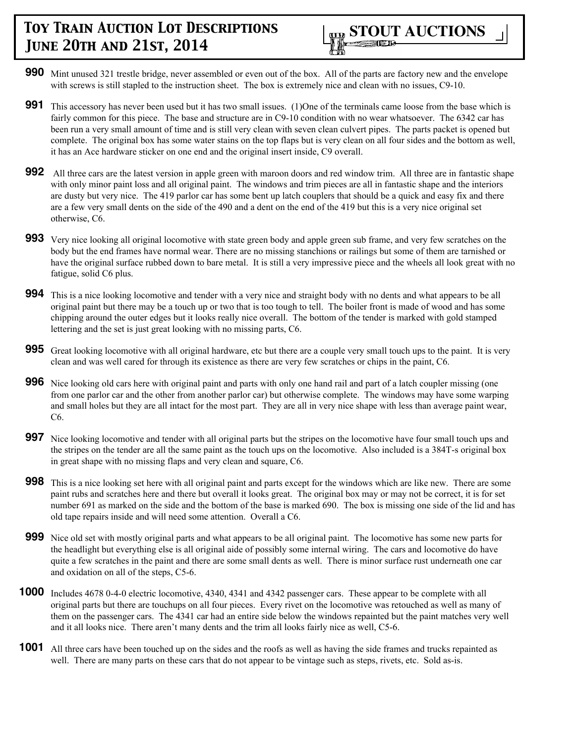

- **990** Mint unused 321 trestle bridge, never assembled or even out of the box. All of the parts are factory new and the envelope with screws is still stapled to the instruction sheet. The box is extremely nice and clean with no issues, C9-10.
- **991** This accessory has never been used but it has two small issues. (1)One of the terminals came loose from the base which is fairly common for this piece. The base and structure are in C9-10 condition with no wear whatsoever. The 6342 car has been run a very small amount of time and is still very clean with seven clean culvert pipes. The parts packet is opened but complete. The original box has some water stains on the top flaps but is very clean on all four sides and the bottom as well, it has an Ace hardware sticker on one end and the original insert inside, C9 overall.
- **992** All three cars are the latest version in apple green with maroon doors and red window trim. All three are in fantastic shape with only minor paint loss and all original paint. The windows and trim pieces are all in fantastic shape and the interiors are dusty but very nice. The 419 parlor car has some bent up latch couplers that should be a quick and easy fix and there are a few very small dents on the side of the 490 and a dent on the end of the 419 but this is a very nice original set otherwise, C6.
- **993** Very nice looking all original locomotive with state green body and apple green sub frame, and very few scratches on the body but the end frames have normal wear. There are no missing stanchions or railings but some of them are tarnished or have the original surface rubbed down to bare metal. It is still a very impressive piece and the wheels all look great with no fatigue, solid C6 plus.
- **994** This is a nice looking locomotive and tender with a very nice and straight body with no dents and what appears to be all original paint but there may be a touch up or two that is too tough to tell. The boiler front is made of wood and has some chipping around the outer edges but it looks really nice overall. The bottom of the tender is marked with gold stamped lettering and the set is just great looking with no missing parts, C6.
- **995** Great looking locomotive with all original hardware, etc but there are a couple very small touch ups to the paint. It is very clean and was well cared for through its existence as there are very few scratches or chips in the paint, C6.
- **996** Nice looking old cars here with original paint and parts with only one hand rail and part of a latch coupler missing (one from one parlor car and the other from another parlor car) but otherwise complete. The windows may have some warping and small holes but they are all intact for the most part. They are all in very nice shape with less than average paint wear, C6.
- **997** Nice looking locomotive and tender with all original parts but the stripes on the locomotive have four small touch ups and the stripes on the tender are all the same paint as the touch ups on the locomotive. Also included is a 384T-s original box in great shape with no missing flaps and very clean and square, C6.
- **998** This is a nice looking set here with all original paint and parts except for the windows which are like new. There are some paint rubs and scratches here and there but overall it looks great. The original box may or may not be correct, it is for set number 691 as marked on the side and the bottom of the base is marked 690. The box is missing one side of the lid and has old tape repairs inside and will need some attention. Overall a C6.
- **999** Nice old set with mostly original parts and what appears to be all original paint. The locomotive has some new parts for the headlight but everything else is all original aide of possibly some internal wiring. The cars and locomotive do have quite a few scratches in the paint and there are some small dents as well. There is minor surface rust underneath one car and oxidation on all of the steps, C5-6.
- **1000** Includes 4678 0-4-0 electric locomotive, 4340, 4341 and 4342 passenger cars. These appear to be complete with all original parts but there are touchups on all four pieces. Every rivet on the locomotive was retouched as well as many of them on the passenger cars. The 4341 car had an entire side below the windows repainted but the paint matches very well and it all looks nice. There aren't many dents and the trim all looks fairly nice as well, C5-6.
- **1001** All three cars have been touched up on the sides and the roofs as well as having the side frames and trucks repainted as well. There are many parts on these cars that do not appear to be vintage such as steps, rivets, etc. Sold as-is.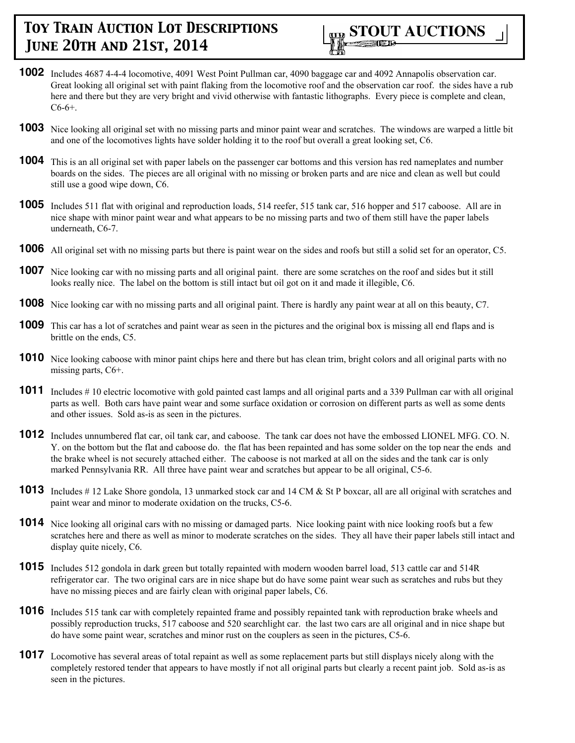

- **1002** Includes 4687 4-4-4 locomotive, 4091 West Point Pullman car, 4090 baggage car and 4092 Annapolis observation car. Great looking all original set with paint flaking from the locomotive roof and the observation car roof. the sides have a rub here and there but they are very bright and vivid otherwise with fantastic lithographs. Every piece is complete and clean,  $C6-6+$ .
- **1003** Nice looking all original set with no missing parts and minor paint wear and scratches. The windows are warped a little bit and one of the locomotives lights have solder holding it to the roof but overall a great looking set, C6.
- **1004** This is an all original set with paper labels on the passenger car bottoms and this version has red nameplates and number boards on the sides. The pieces are all original with no missing or broken parts and are nice and clean as well but could still use a good wipe down, C6.
- **1005** Includes 511 flat with original and reproduction loads, 514 reefer, 515 tank car, 516 hopper and 517 caboose. All are in nice shape with minor paint wear and what appears to be no missing parts and two of them still have the paper labels underneath, C6-7.
- **1006** All original set with no missing parts but there is paint wear on the sides and roofs but still a solid set for an operator, C5.
- **1007** Nice looking car with no missing parts and all original paint. there are some scratches on the roof and sides but it still looks really nice. The label on the bottom is still intact but oil got on it and made it illegible, C6.
- **1008** Nice looking car with no missing parts and all original paint. There is hardly any paint wear at all on this beauty, C7.
- **1009** This car has a lot of scratches and paint wear as seen in the pictures and the original box is missing all end flaps and is brittle on the ends, C5.
- **1010** Nice looking caboose with minor paint chips here and there but has clean trim, bright colors and all original parts with no missing parts, C6+.
- **1011** Includes # 10 electric locomotive with gold painted cast lamps and all original parts and a 339 Pullman car with all original parts as well. Both cars have paint wear and some surface oxidation or corrosion on different parts as well as some dents and other issues. Sold as-is as seen in the pictures.
- **1012** Includes unnumbered flat car, oil tank car, and caboose. The tank car does not have the embossed LIONEL MFG. CO. N. Y. on the bottom but the flat and caboose do. the flat has been repainted and has some solder on the top near the ends and the brake wheel is not securely attached either. The caboose is not marked at all on the sides and the tank car is only marked Pennsylvania RR. All three have paint wear and scratches but appear to be all original, C5-6.
- **1013** Includes # 12 Lake Shore gondola, 13 unmarked stock car and 14 CM & St P boxcar, all are all original with scratches and paint wear and minor to moderate oxidation on the trucks, C5-6.
- **1014** Nice looking all original cars with no missing or damaged parts. Nice looking paint with nice looking roofs but a few scratches here and there as well as minor to moderate scratches on the sides. They all have their paper labels still intact and display quite nicely, C6.
- **1015** Includes 512 gondola in dark green but totally repainted with modern wooden barrel load, 513 cattle car and 514R refrigerator car. The two original cars are in nice shape but do have some paint wear such as scratches and rubs but they have no missing pieces and are fairly clean with original paper labels, C6.
- **1016** Includes 515 tank car with completely repainted frame and possibly repainted tank with reproduction brake wheels and possibly reproduction trucks, 517 caboose and 520 searchlight car. the last two cars are all original and in nice shape but do have some paint wear, scratches and minor rust on the couplers as seen in the pictures, C5-6.
- **1017** Locomotive has several areas of total repaint as well as some replacement parts but still displays nicely along with the completely restored tender that appears to have mostly if not all original parts but clearly a recent paint job. Sold as-is as seen in the pictures.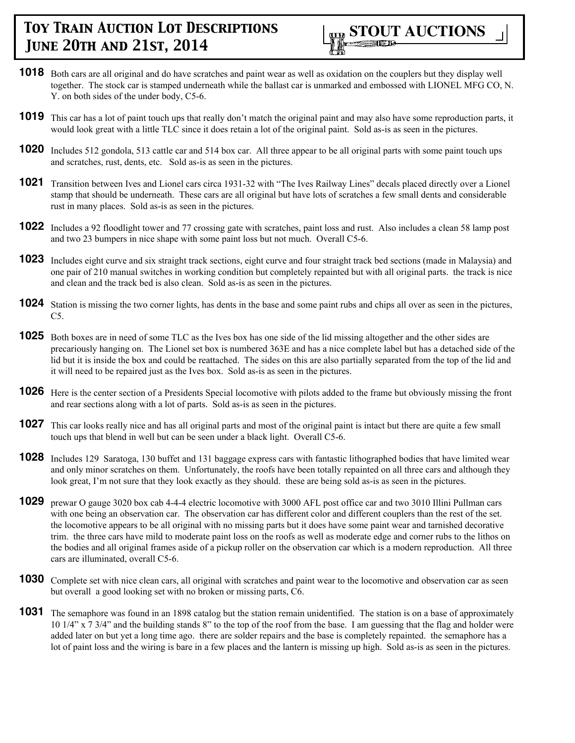

- **1018** Both cars are all original and do have scratches and paint wear as well as oxidation on the couplers but they display well together. The stock car is stamped underneath while the ballast car is unmarked and embossed with LIONEL MFG CO, N. Y. on both sides of the under body, C5-6.
- **1019** This car has a lot of paint touch ups that really don't match the original paint and may also have some reproduction parts, it would look great with a little TLC since it does retain a lot of the original paint. Sold as-is as seen in the pictures.
- **1020** Includes 512 gondola, 513 cattle car and 514 box car. All three appear to be all original parts with some paint touch ups and scratches, rust, dents, etc. Sold as-is as seen in the pictures.
- **1021** Transition between Ives and Lionel cars circa 1931-32 with "The Ives Railway Lines" decals placed directly over a Lionel stamp that should be underneath. These cars are all original but have lots of scratches a few small dents and considerable rust in many places. Sold as-is as seen in the pictures.
- **1022** Includes a 92 floodlight tower and 77 crossing gate with scratches, paint loss and rust. Also includes a clean 58 lamp post and two 23 bumpers in nice shape with some paint loss but not much. Overall C5-6.
- **1023** Includes eight curve and six straight track sections, eight curve and four straight track bed sections (made in Malaysia) and one pair of 210 manual switches in working condition but completely repainted but with all original parts. the track is nice and clean and the track bed is also clean. Sold as-is as seen in the pictures.
- **1024** Station is missing the two corner lights, has dents in the base and some paint rubs and chips all over as seen in the pictures, C5.
- **1025** Both boxes are in need of some TLC as the Ives box has one side of the lid missing altogether and the other sides are precariously hanging on. The Lionel set box is numbered 363E and has a nice complete label but has a detached side of the lid but it is inside the box and could be reattached. The sides on this are also partially separated from the top of the lid and it will need to be repaired just as the Ives box. Sold as-is as seen in the pictures.
- **1026** Here is the center section of a Presidents Special locomotive with pilots added to the frame but obviously missing the front and rear sections along with a lot of parts. Sold as-is as seen in the pictures.
- **1027** This car looks really nice and has all original parts and most of the original paint is intact but there are quite a few small touch ups that blend in well but can be seen under a black light. Overall C5-6.
- **1028** Includes 129 Saratoga, 130 buffet and 131 baggage express cars with fantastic lithographed bodies that have limited wear and only minor scratches on them. Unfortunately, the roofs have been totally repainted on all three cars and although they look great, I'm not sure that they look exactly as they should. these are being sold as-is as seen in the pictures.
- **1029** prewar O gauge 3020 box cab 4-4-4 electric locomotive with 3000 AFL post office car and two 3010 Illini Pullman cars with one being an observation car. The observation car has different color and different couplers than the rest of the set. the locomotive appears to be all original with no missing parts but it does have some paint wear and tarnished decorative trim. the three cars have mild to moderate paint loss on the roofs as well as moderate edge and corner rubs to the lithos on the bodies and all original frames aside of a pickup roller on the observation car which is a modern reproduction. All three cars are illuminated, overall C5-6.
- **1030** Complete set with nice clean cars, all original with scratches and paint wear to the locomotive and observation car as seen but overall a good looking set with no broken or missing parts, C6.
- **1031** The semaphore was found in an 1898 catalog but the station remain unidentified. The station is on a base of approximately 10 1/4" x 7 3/4" and the building stands 8" to the top of the roof from the base. I am guessing that the flag and holder were added later on but yet a long time ago. there are solder repairs and the base is completely repainted. the semaphore has a lot of paint loss and the wiring is bare in a few places and the lantern is missing up high. Sold as-is as seen in the pictures.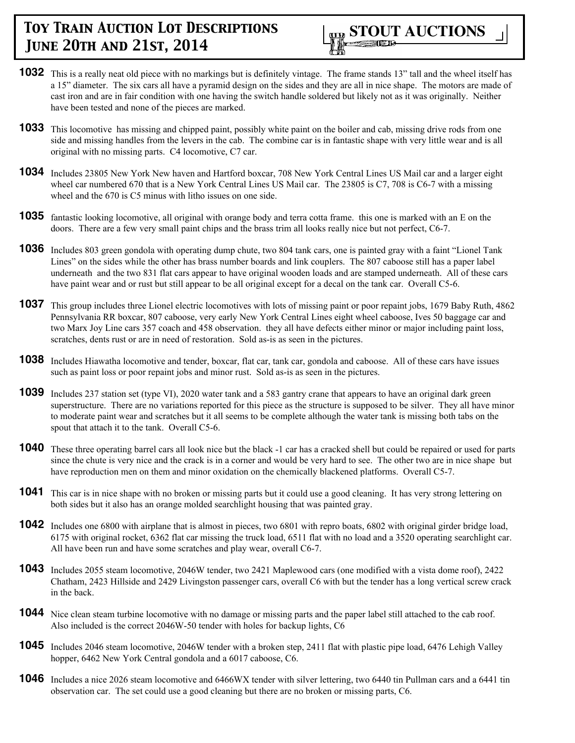

- **1032** This is a really neat old piece with no markings but is definitely vintage. The frame stands 13" tall and the wheel itself has a 15" diameter. The six cars all have a pyramid design on the sides and they are all in nice shape. The motors are made of cast iron and are in fair condition with one having the switch handle soldered but likely not as it was originally. Neither have been tested and none of the pieces are marked.
- **1033** This locomotive has missing and chipped paint, possibly white paint on the boiler and cab, missing drive rods from one side and missing handles from the levers in the cab. The combine car is in fantastic shape with very little wear and is all original with no missing parts. C4 locomotive, C7 car.
- **1034** Includes 23805 New York New haven and Hartford boxcar, 708 New York Central Lines US Mail car and a larger eight wheel car numbered 670 that is a New York Central Lines US Mail car. The 23805 is C7, 708 is C6-7 with a missing wheel and the 670 is C5 minus with litho issues on one side.
- **1035** fantastic looking locomotive, all original with orange body and terra cotta frame. this one is marked with an E on the doors. There are a few very small paint chips and the brass trim all looks really nice but not perfect, C6-7.
- **1036** Includes 803 green gondola with operating dump chute, two 804 tank cars, one is painted gray with a faint "Lionel Tank Lines" on the sides while the other has brass number boards and link couplers. The 807 caboose still has a paper label underneath and the two 831 flat cars appear to have original wooden loads and are stamped underneath. All of these cars have paint wear and or rust but still appear to be all original except for a decal on the tank car. Overall C5-6.
- **1037** This group includes three Lionel electric locomotives with lots of missing paint or poor repaint jobs, 1679 Baby Ruth, 4862 Pennsylvania RR boxcar, 807 caboose, very early New York Central Lines eight wheel caboose, Ives 50 baggage car and two Marx Joy Line cars 357 coach and 458 observation. they all have defects either minor or major including paint loss, scratches, dents rust or are in need of restoration. Sold as-is as seen in the pictures.
- **1038** Includes Hiawatha locomotive and tender, boxcar, flat car, tank car, gondola and caboose. All of these cars have issues such as paint loss or poor repaint jobs and minor rust. Sold as-is as seen in the pictures.
- **1039** Includes 237 station set (type VI), 2020 water tank and a 583 gantry crane that appears to have an original dark green superstructure. There are no variations reported for this piece as the structure is supposed to be silver. They all have minor to moderate paint wear and scratches but it all seems to be complete although the water tank is missing both tabs on the spout that attach it to the tank. Overall C5-6.
- **1040** These three operating barrel cars all look nice but the black -1 car has a cracked shell but could be repaired or used for parts since the chute is very nice and the crack is in a corner and would be very hard to see. The other two are in nice shape but have reproduction men on them and minor oxidation on the chemically blackened platforms. Overall C5-7.
- **1041** This car is in nice shape with no broken or missing parts but it could use a good cleaning. It has very strong lettering on both sides but it also has an orange molded searchlight housing that was painted gray.
- **1042** Includes one 6800 with airplane that is almost in pieces, two 6801 with repro boats, 6802 with original girder bridge load, 6175 with original rocket, 6362 flat car missing the truck load, 6511 flat with no load and a 3520 operating searchlight car. All have been run and have some scratches and play wear, overall C6-7.
- **1043** Includes 2055 steam locomotive, 2046W tender, two 2421 Maplewood cars (one modified with a vista dome roof), 2422 Chatham, 2423 Hillside and 2429 Livingston passenger cars, overall C6 with but the tender has a long vertical screw crack in the back.
- **1044** Nice clean steam turbine locomotive with no damage or missing parts and the paper label still attached to the cab roof. Also included is the correct 2046W-50 tender with holes for backup lights, C6
- **1045** Includes 2046 steam locomotive, 2046W tender with a broken step, 2411 flat with plastic pipe load, 6476 Lehigh Valley hopper, 6462 New York Central gondola and a 6017 caboose, C6.
- **1046** Includes a nice 2026 steam locomotive and 6466WX tender with silver lettering, two 6440 tin Pullman cars and a 6441 tin observation car. The set could use a good cleaning but there are no broken or missing parts, C6.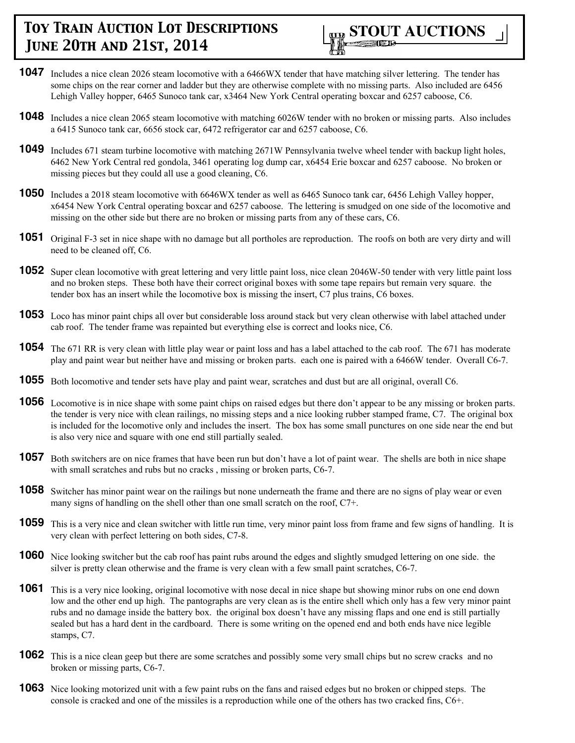

- **1047** Includes a nice clean 2026 steam locomotive with a 6466WX tender that have matching silver lettering. The tender has some chips on the rear corner and ladder but they are otherwise complete with no missing parts. Also included are 6456 Lehigh Valley hopper, 6465 Sunoco tank car, x3464 New York Central operating boxcar and 6257 caboose, C6.
- **1048** Includes a nice clean 2065 steam locomotive with matching 6026W tender with no broken or missing parts. Also includes a 6415 Sunoco tank car, 6656 stock car, 6472 refrigerator car and 6257 caboose, C6.
- **1049** Includes 671 steam turbine locomotive with matching 2671W Pennsylvania twelve wheel tender with backup light holes, 6462 New York Central red gondola, 3461 operating log dump car, x6454 Erie boxcar and 6257 caboose. No broken or missing pieces but they could all use a good cleaning, C6.
- **1050** Includes a 2018 steam locomotive with 6646WX tender as well as 6465 Sunoco tank car, 6456 Lehigh Valley hopper, x6454 New York Central operating boxcar and 6257 caboose. The lettering is smudged on one side of the locomotive and missing on the other side but there are no broken or missing parts from any of these cars, C6.
- **1051** Original F-3 set in nice shape with no damage but all portholes are reproduction. The roofs on both are very dirty and will need to be cleaned off, C6.
- **1052** Super clean locomotive with great lettering and very little paint loss, nice clean 2046W-50 tender with very little paint loss and no broken steps. These both have their correct original boxes with some tape repairs but remain very square. the tender box has an insert while the locomotive box is missing the insert, C7 plus trains, C6 boxes.
- **1053** Loco has minor paint chips all over but considerable loss around stack but very clean otherwise with label attached under cab roof. The tender frame was repainted but everything else is correct and looks nice, C6.
- **1054** The 671 RR is very clean with little play wear or paint loss and has a label attached to the cab roof. The 671 has moderate play and paint wear but neither have and missing or broken parts. each one is paired with a 6466W tender. Overall C6-7.
- **1055** Both locomotive and tender sets have play and paint wear, scratches and dust but are all original, overall C6.
- **1056** Locomotive is in nice shape with some paint chips on raised edges but there don't appear to be any missing or broken parts. the tender is very nice with clean railings, no missing steps and a nice looking rubber stamped frame, C7. The original box is included for the locomotive only and includes the insert. The box has some small punctures on one side near the end but is also very nice and square with one end still partially sealed.
- **1057** Both switchers are on nice frames that have been run but don't have a lot of paint wear. The shells are both in nice shape with small scratches and rubs but no cracks, missing or broken parts, C6-7.
- **1058** Switcher has minor paint wear on the railings but none underneath the frame and there are no signs of play wear or even many signs of handling on the shell other than one small scratch on the roof, C7+.
- **1059** This is a very nice and clean switcher with little run time, very minor paint loss from frame and few signs of handling. It is very clean with perfect lettering on both sides, C7-8.
- **1060** Nice looking switcher but the cab roof has paint rubs around the edges and slightly smudged lettering on one side. the silver is pretty clean otherwise and the frame is very clean with a few small paint scratches, C6-7.
- **1061** This is a very nice looking, original locomotive with nose decal in nice shape but showing minor rubs on one end down low and the other end up high. The pantographs are very clean as is the entire shell which only has a few very minor paint rubs and no damage inside the battery box. the original box doesn't have any missing flaps and one end is still partially sealed but has a hard dent in the cardboard. There is some writing on the opened end and both ends have nice legible stamps, C7.
- **1062** This is a nice clean geep but there are some scratches and possibly some very small chips but no screw cracks and no broken or missing parts, C6-7.
- **1063** Nice looking motorized unit with a few paint rubs on the fans and raised edges but no broken or chipped steps. The console is cracked and one of the missiles is a reproduction while one of the others has two cracked fins, C6+.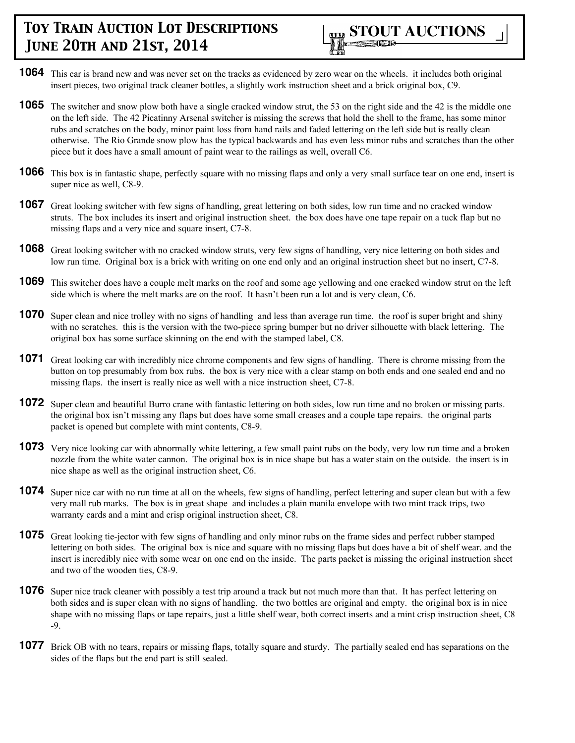

- **1064** This car is brand new and was never set on the tracks as evidenced by zero wear on the wheels. it includes both original insert pieces, two original track cleaner bottles, a slightly work instruction sheet and a brick original box, C9.
- **1065** The switcher and snow plow both have a single cracked window strut, the 53 on the right side and the 42 is the middle one on the left side. The 42 Picatinny Arsenal switcher is missing the screws that hold the shell to the frame, has some minor rubs and scratches on the body, minor paint loss from hand rails and faded lettering on the left side but is really clean otherwise. The Rio Grande snow plow has the typical backwards and has even less minor rubs and scratches than the other piece but it does have a small amount of paint wear to the railings as well, overall C6.
- **1066** This box is in fantastic shape, perfectly square with no missing flaps and only a very small surface tear on one end, insert is super nice as well, C8-9.
- **1067** Great looking switcher with few signs of handling, great lettering on both sides, low run time and no cracked window struts. The box includes its insert and original instruction sheet. the box does have one tape repair on a tuck flap but no missing flaps and a very nice and square insert, C7-8.
- **1068** Great looking switcher with no cracked window struts, very few signs of handling, very nice lettering on both sides and low run time. Original box is a brick with writing on one end only and an original instruction sheet but no insert, C7-8.
- **1069** This switcher does have a couple melt marks on the roof and some age yellowing and one cracked window strut on the left side which is where the melt marks are on the roof. It hasn't been run a lot and is very clean, C6.
- **1070** Super clean and nice trolley with no signs of handling and less than average run time. the roof is super bright and shiny with no scratches. this is the version with the two-piece spring bumper but no driver silhouette with black lettering. The original box has some surface skinning on the end with the stamped label, C8.
- **1071** Great looking car with incredibly nice chrome components and few signs of handling. There is chrome missing from the button on top presumably from box rubs. the box is very nice with a clear stamp on both ends and one sealed end and no missing flaps. the insert is really nice as well with a nice instruction sheet, C7-8.
- **1072** Super clean and beautiful Burro crane with fantastic lettering on both sides, low run time and no broken or missing parts. the original box isn't missing any flaps but does have some small creases and a couple tape repairs. the original parts packet is opened but complete with mint contents, C8-9.
- **1073** Very nice looking car with abnormally white lettering, a few small paint rubs on the body, very low run time and a broken nozzle from the white water cannon. The original box is in nice shape but has a water stain on the outside. the insert is in nice shape as well as the original instruction sheet, C6.
- **1074** Super nice car with no run time at all on the wheels, few signs of handling, perfect lettering and super clean but with a few very mall rub marks. The box is in great shape and includes a plain manila envelope with two mint track trips, two warranty cards and a mint and crisp original instruction sheet, C8.
- **1075** Great looking tie-jector with few signs of handling and only minor rubs on the frame sides and perfect rubber stamped lettering on both sides. The original box is nice and square with no missing flaps but does have a bit of shelf wear. and the insert is incredibly nice with some wear on one end on the inside. The parts packet is missing the original instruction sheet and two of the wooden ties, C8-9.
- **1076** Super nice track cleaner with possibly a test trip around a track but not much more than that. It has perfect lettering on both sides and is super clean with no signs of handling. the two bottles are original and empty. the original box is in nice shape with no missing flaps or tape repairs, just a little shelf wear, both correct inserts and a mint crisp instruction sheet, C8 -9.
- **1077** Brick OB with no tears, repairs or missing flaps, totally square and sturdy. The partially sealed end has separations on the sides of the flaps but the end part is still sealed.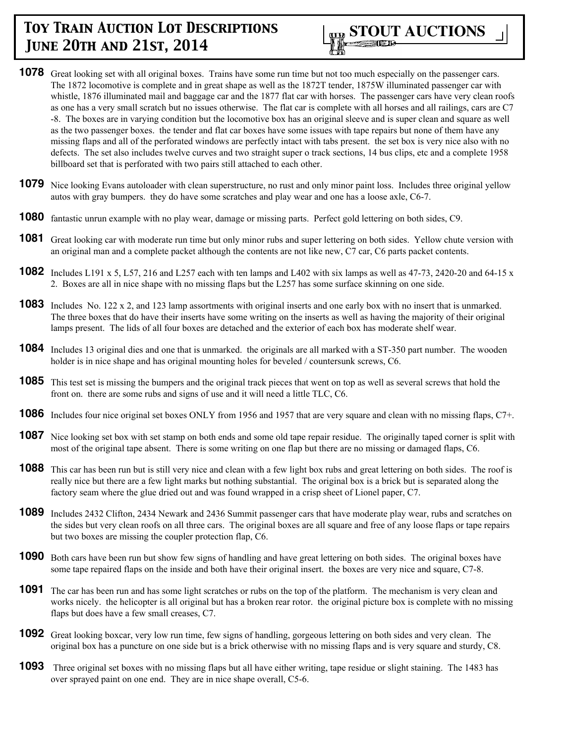

- **1078** Great looking set with all original boxes. Trains have some run time but not too much especially on the passenger cars. The 1872 locomotive is complete and in great shape as well as the 1872T tender, 1875W illuminated passenger car with whistle, 1876 illuminated mail and baggage car and the 1877 flat car with horses. The passenger cars have very clean roofs as one has a very small scratch but no issues otherwise. The flat car is complete with all horses and all railings, cars are C7 -8. The boxes are in varying condition but the locomotive box has an original sleeve and is super clean and square as well as the two passenger boxes. the tender and flat car boxes have some issues with tape repairs but none of them have any missing flaps and all of the perforated windows are perfectly intact with tabs present. the set box is very nice also with no defects. The set also includes twelve curves and two straight super o track sections, 14 bus clips, etc and a complete 1958 billboard set that is perforated with two pairs still attached to each other.
- **1079** Nice looking Evans autoloader with clean superstructure, no rust and only minor paint loss. Includes three original yellow autos with gray bumpers. they do have some scratches and play wear and one has a loose axle, C6-7.
- **1080** fantastic unrun example with no play wear, damage or missing parts. Perfect gold lettering on both sides, C9.
- **1081** Great looking car with moderate run time but only minor rubs and super lettering on both sides. Yellow chute version with an original man and a complete packet although the contents are not like new, C7 car, C6 parts packet contents.
- **1082** Includes L191 x 5, L57, 216 and L257 each with ten lamps and L402 with six lamps as well as 47-73, 2420-20 and 64-15 x 2. Boxes are all in nice shape with no missing flaps but the L257 has some surface skinning on one side.
- **1083** Includes No. 122 x 2, and 123 lamp assortments with original inserts and one early box with no insert that is unmarked. The three boxes that do have their inserts have some writing on the inserts as well as having the majority of their original lamps present. The lids of all four boxes are detached and the exterior of each box has moderate shelf wear.
- **1084** Includes 13 original dies and one that is unmarked. the originals are all marked with a ST-350 part number. The wooden holder is in nice shape and has original mounting holes for beveled / countersunk screws, C6.
- **1085** This test set is missing the bumpers and the original track pieces that went on top as well as several screws that hold the front on. there are some rubs and signs of use and it will need a little TLC, C6.
- **1086** Includes four nice original set boxes ONLY from 1956 and 1957 that are very square and clean with no missing flaps, C7+.
- **1087** Nice looking set box with set stamp on both ends and some old tape repair residue. The originally taped corner is split with most of the original tape absent. There is some writing on one flap but there are no missing or damaged flaps, C6.
- **1088** This car has been run but is still very nice and clean with a few light box rubs and great lettering on both sides. The roof is really nice but there are a few light marks but nothing substantial. The original box is a brick but is separated along the factory seam where the glue dried out and was found wrapped in a crisp sheet of Lionel paper, C7.
- **1089** Includes 2432 Clifton, 2434 Newark and 2436 Summit passenger cars that have moderate play wear, rubs and scratches on the sides but very clean roofs on all three cars. The original boxes are all square and free of any loose flaps or tape repairs but two boxes are missing the coupler protection flap, C6.
- **1090** Both cars have been run but show few signs of handling and have great lettering on both sides. The original boxes have some tape repaired flaps on the inside and both have their original insert. the boxes are very nice and square, C7-8.
- **1091** The car has been run and has some light scratches or rubs on the top of the platform. The mechanism is very clean and works nicely. the helicopter is all original but has a broken rear rotor. the original picture box is complete with no missing flaps but does have a few small creases, C7.
- **1092** Great looking boxcar, very low run time, few signs of handling, gorgeous lettering on both sides and very clean. The original box has a puncture on one side but is a brick otherwise with no missing flaps and is very square and sturdy, C8.
- **1093** Three original set boxes with no missing flaps but all have either writing, tape residue or slight staining. The 1483 has over sprayed paint on one end. They are in nice shape overall, C5-6.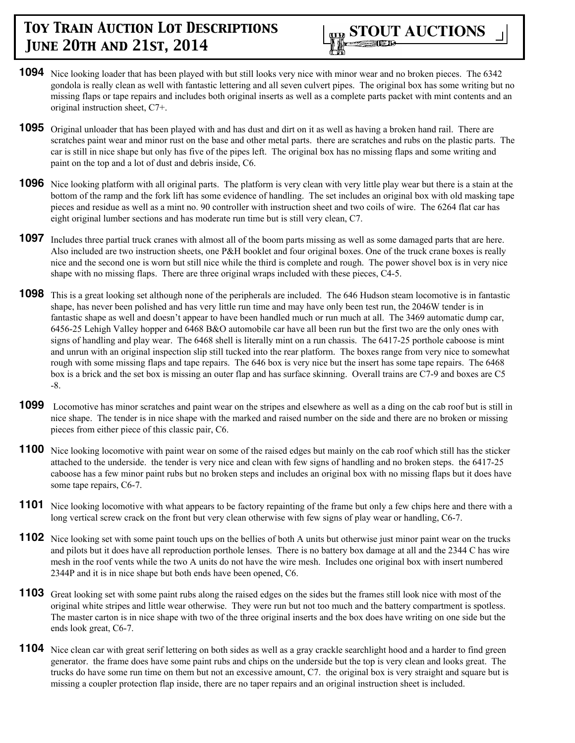

- **1094** Nice looking loader that has been played with but still looks very nice with minor wear and no broken pieces. The 6342 gondola is really clean as well with fantastic lettering and all seven culvert pipes. The original box has some writing but no missing flaps or tape repairs and includes both original inserts as well as a complete parts packet with mint contents and an original instruction sheet, C7+.
- **1095** Original unloader that has been played with and has dust and dirt on it as well as having a broken hand rail. There are scratches paint wear and minor rust on the base and other metal parts. there are scratches and rubs on the plastic parts. The car is still in nice shape but only has five of the pipes left. The original box has no missing flaps and some writing and paint on the top and a lot of dust and debris inside, C6.
- **1096** Nice looking platform with all original parts. The platform is very clean with very little play wear but there is a stain at the bottom of the ramp and the fork lift has some evidence of handling. The set includes an original box with old masking tape pieces and residue as well as a mint no. 90 controller with instruction sheet and two coils of wire. The 6264 flat car has eight original lumber sections and has moderate run time but is still very clean, C7.
- **1097** Includes three partial truck cranes with almost all of the boom parts missing as well as some damaged parts that are here. Also included are two instruction sheets, one P&H booklet and four original boxes. One of the truck crane boxes is really nice and the second one is worn but still nice while the third is complete and rough. The power shovel box is in very nice shape with no missing flaps. There are three original wraps included with these pieces, C4-5.
- **1098** This is a great looking set although none of the peripherals are included. The 646 Hudson steam locomotive is in fantastic shape, has never been polished and has very little run time and may have only been test run, the 2046W tender is in fantastic shape as well and doesn't appear to have been handled much or run much at all. The 3469 automatic dump car, 6456-25 Lehigh Valley hopper and 6468 B&O automobile car have all been run but the first two are the only ones with signs of handling and play wear. The 6468 shell is literally mint on a run chassis. The 6417-25 porthole caboose is mint and unrun with an original inspection slip still tucked into the rear platform. The boxes range from very nice to somewhat rough with some missing flaps and tape repairs. The 646 box is very nice but the insert has some tape repairs. The 6468 box is a brick and the set box is missing an outer flap and has surface skinning. Overall trains are C7-9 and boxes are C5 -8.
- **1099** Locomotive has minor scratches and paint wear on the stripes and elsewhere as well as a ding on the cab roof but is still in nice shape. The tender is in nice shape with the marked and raised number on the side and there are no broken or missing pieces from either piece of this classic pair, C6.
- **1100** Nice looking locomotive with paint wear on some of the raised edges but mainly on the cab roof which still has the sticker attached to the underside. the tender is very nice and clean with few signs of handling and no broken steps. the 6417-25 caboose has a few minor paint rubs but no broken steps and includes an original box with no missing flaps but it does have some tape repairs, C6-7.
- **1101** Nice looking locomotive with what appears to be factory repainting of the frame but only a few chips here and there with a long vertical screw crack on the front but very clean otherwise with few signs of play wear or handling, C6-7.
- **1102** Nice looking set with some paint touch ups on the bellies of both A units but otherwise just minor paint wear on the trucks and pilots but it does have all reproduction porthole lenses. There is no battery box damage at all and the 2344 C has wire mesh in the roof vents while the two A units do not have the wire mesh. Includes one original box with insert numbered 2344P and it is in nice shape but both ends have been opened, C6.
- **1103** Great looking set with some paint rubs along the raised edges on the sides but the frames still look nice with most of the original white stripes and little wear otherwise. They were run but not too much and the battery compartment is spotless. The master carton is in nice shape with two of the three original inserts and the box does have writing on one side but the ends look great, C6-7.
- **1104** Nice clean car with great serif lettering on both sides as well as a gray crackle searchlight hood and a harder to find green generator. the frame does have some paint rubs and chips on the underside but the top is very clean and looks great. The trucks do have some run time on them but not an excessive amount, C7. the original box is very straight and square but is missing a coupler protection flap inside, there are no taper repairs and an original instruction sheet is included.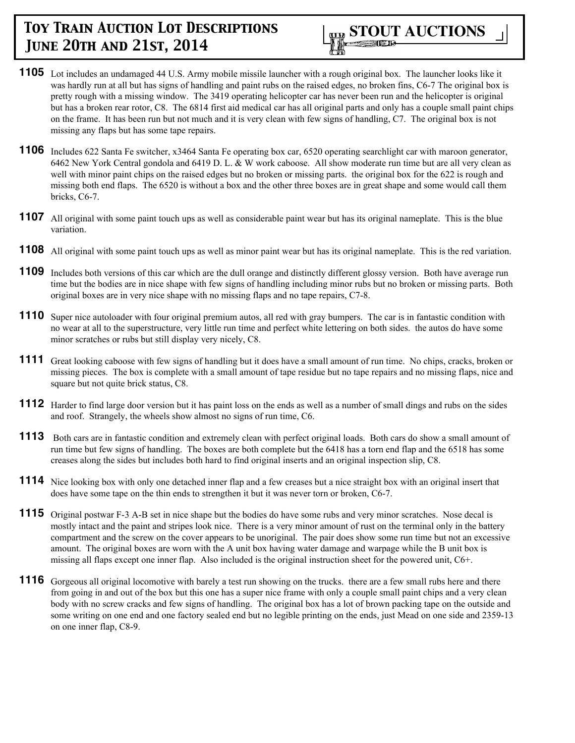

- **1105** Lot includes an undamaged 44 U.S. Army mobile missile launcher with a rough original box. The launcher looks like it was hardly run at all but has signs of handling and paint rubs on the raised edges, no broken fins, C6-7 The original box is pretty rough with a missing window. The 3419 operating helicopter car has never been run and the helicopter is original but has a broken rear rotor, C8. The 6814 first aid medical car has all original parts and only has a couple small paint chips on the frame. It has been run but not much and it is very clean with few signs of handling, C7. The original box is not missing any flaps but has some tape repairs.
- **1106** Includes 622 Santa Fe switcher, x3464 Santa Fe operating box car, 6520 operating searchlight car with maroon generator, 6462 New York Central gondola and 6419 D. L. & W work caboose. All show moderate run time but are all very clean as well with minor paint chips on the raised edges but no broken or missing parts. the original box for the 622 is rough and missing both end flaps. The 6520 is without a box and the other three boxes are in great shape and some would call them bricks, C6-7.
- **1107** All original with some paint touch ups as well as considerable paint wear but has its original nameplate. This is the blue variation.
- **1108** All original with some paint touch ups as well as minor paint wear but has its original nameplate. This is the red variation.
- **1109** Includes both versions of this car which are the dull orange and distinctly different glossy version. Both have average run time but the bodies are in nice shape with few signs of handling including minor rubs but no broken or missing parts. Both original boxes are in very nice shape with no missing flaps and no tape repairs, C7-8.
- **1110** Super nice autoloader with four original premium autos, all red with gray bumpers. The car is in fantastic condition with no wear at all to the superstructure, very little run time and perfect white lettering on both sides. the autos do have some minor scratches or rubs but still display very nicely, C8.
- **1111** Great looking caboose with few signs of handling but it does have a small amount of run time. No chips, cracks, broken or missing pieces. The box is complete with a small amount of tape residue but no tape repairs and no missing flaps, nice and square but not quite brick status, C8.
- **1112** Harder to find large door version but it has paint loss on the ends as well as a number of small dings and rubs on the sides and roof. Strangely, the wheels show almost no signs of run time, C6.
- **1113** Both cars are in fantastic condition and extremely clean with perfect original loads. Both cars do show a small amount of run time but few signs of handling. The boxes are both complete but the 6418 has a torn end flap and the 6518 has some creases along the sides but includes both hard to find original inserts and an original inspection slip, C8.
- **1114** Nice looking box with only one detached inner flap and a few creases but a nice straight box with an original insert that does have some tape on the thin ends to strengthen it but it was never torn or broken, C6-7.
- **1115** Original postwar F-3 A-B set in nice shape but the bodies do have some rubs and very minor scratches. Nose decal is mostly intact and the paint and stripes look nice. There is a very minor amount of rust on the terminal only in the battery compartment and the screw on the cover appears to be unoriginal. The pair does show some run time but not an excessive amount. The original boxes are worn with the A unit box having water damage and warpage while the B unit box is missing all flaps except one inner flap. Also included is the original instruction sheet for the powered unit, C6+.
- **1116** Gorgeous all original locomotive with barely a test run showing on the trucks. there are a few small rubs here and there from going in and out of the box but this one has a super nice frame with only a couple small paint chips and a very clean body with no screw cracks and few signs of handling. The original box has a lot of brown packing tape on the outside and some writing on one end and one factory sealed end but no legible printing on the ends, just Mead on one side and 2359-13 on one inner flap, C8-9.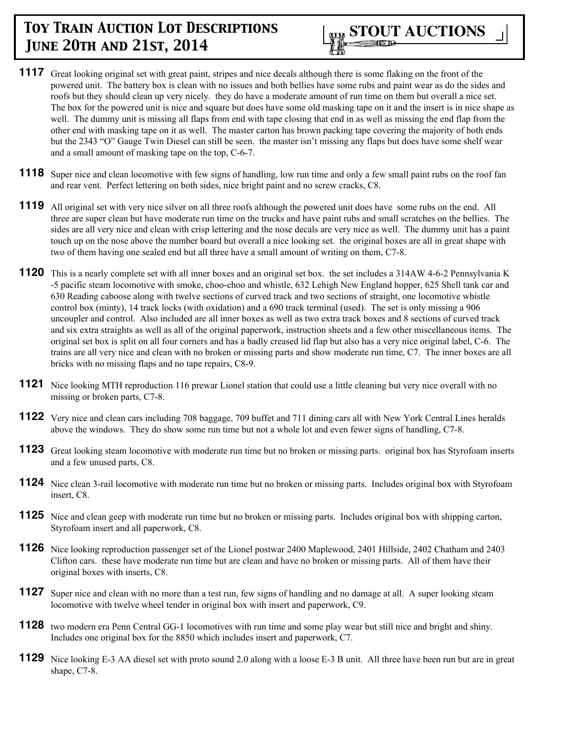

- **1117** Great looking original set with great paint, stripes and nice decals although there is some flaking on the front of the powered unit. The battery box is clean with no issues and both bellies have some rubs and paint wear as do the sides and roofs but they should clean up very nicely. they do have a moderate amount of run time on them but overall a nice set. The box for the powered unit is nice and square but does have some old masking tape on it and the insert is in nice shape as well. The dummy unit is missing all flaps from end with tape closing that end in as well as missing the end flap from the other end with masking tape on it as well. The master carton has brown packing tape covering the majority of both ends but the 2343 "O" Gauge Twin Diesel can still be seen. the master isn't missing any flaps but does have some shelf wear and a small amount of masking tape on the top, C-6-7.
- **1118** Super nice and clean locomotive with few signs of handling, low run time and only a few small paint rubs on the roof fan and rear vent. Perfect lettering on both sides, nice bright paint and no screw cracks, C8.
- **1119** All original set with very nice silver on all three roofs although the powered unit does have some rubs on the end. All three are super clean but have moderate run time on the trucks and have paint rubs and small scratches on the bellies. The sides are all very nice and clean with crisp lettering and the nose decals are very nice as well. The dummy unit has a paint touch up on the nose above the number board but overall a nice looking set. the original boxes are all in great shape with two of them having one sealed end but all three have a small amount of writing on them, C7-8.
- **1120** This is a nearly complete set with all inner boxes and an original set box. the set includes a 314AW 4-6-2 Pennsylvania K -5 pacific steam locomotive with smoke, choo-choo and whistle, 632 Lehigh New England hopper, 625 Shell tank car and 630 Reading caboose along with twelve sections of curved track and two sections of straight, one locomotive whistle control box (minty), 14 track locks (with oxidation) and a 690 track terminal (used). The set is only missing a 906 uncoupler and control. Also included are all inner boxes as well as two extra track boxes and 8 sections of curved track and six extra straights as well as all of the original paperwork, instruction sheets and a few other miscellaneous items. The original set box is split on all four corners and has a badly creased lid flap but also has a very nice original label, C-6. The trains are all very nice and clean with no broken or missing parts and show moderate run time, C7. The inner boxes are all bricks with no missing flaps and no tape repairs, C8-9.
- **1121** Nice looking MTH reproduction 116 prewar Lionel station that could use a little cleaning but very nice overall with no missing or broken parts, C7-8.
- **1122** Very nice and clean cars including 708 baggage, 709 buffet and 711 dining cars all with New York Central Lines heralds above the windows. They do show some run time but not a whole lot and even fewer signs of handling, C7-8.
- **1123** Great looking steam locomotive with moderate run time but no broken or missing parts. original box has Styrofoam inserts and a few unused parts, C8.
- **1124** Nice clean 3-rail locomotive with moderate run time but no broken or missing parts. Includes original box with Styrofoam insert, C8.
- **1125** Nice and clean geep with moderate run time but no broken or missing parts. Includes original box with shipping carton, Styrofoam insert and all paperwork, C8.
- **1126** Nice looking reproduction passenger set of the Lionel postwar 2400 Maplewood, 2401 Hillside, 2402 Chatham and 2403 Clifton cars. these have moderate run time but are clean and have no broken or missing parts. All of them have their original boxes with inserts, C8.
- **1127** Super nice and clean with no more than a test run, few signs of handling and no damage at all. A super looking steam locomotive with twelve wheel tender in original box with insert and paperwork, C9.
- **1128** two modern era Penn Central GG-1 locomotives with run time and some play wear but still nice and bright and shiny. Includes one original box for the 8850 which includes insert and paperwork, C7.
- **1129** Nice looking E-3 AA diesel set with proto sound 2.0 along with a loose E-3 B unit. All three have been run but are in great shape, C7-8.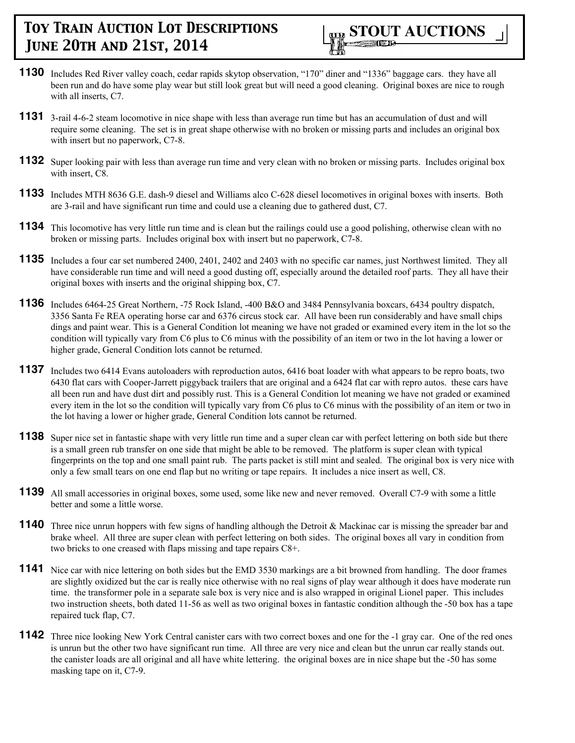

- **1130** Includes Red River valley coach, cedar rapids skytop observation, "170" diner and "1336" baggage cars. they have all been run and do have some play wear but still look great but will need a good cleaning. Original boxes are nice to rough with all inserts, C7.
- **1131** 3-rail 4-6-2 steam locomotive in nice shape with less than average run time but has an accumulation of dust and will require some cleaning. The set is in great shape otherwise with no broken or missing parts and includes an original box with insert but no paperwork, C7-8.
- **1132** Super looking pair with less than average run time and very clean with no broken or missing parts. Includes original box with insert, C8.
- **1133** Includes MTH 8636 G.E. dash-9 diesel and Williams alco C-628 diesel locomotives in original boxes with inserts. Both are 3-rail and have significant run time and could use a cleaning due to gathered dust, C7.
- **1134** This locomotive has very little run time and is clean but the railings could use a good polishing, otherwise clean with no broken or missing parts. Includes original box with insert but no paperwork, C7-8.
- **1135** Includes a four car set numbered 2400, 2401, 2402 and 2403 with no specific car names, just Northwest limited. They all have considerable run time and will need a good dusting off, especially around the detailed roof parts. They all have their original boxes with inserts and the original shipping box, C7.
- **1136** Includes 6464-25 Great Northern, -75 Rock Island, -400 B&O and 3484 Pennsylvania boxcars, 6434 poultry dispatch, 3356 Santa Fe REA operating horse car and 6376 circus stock car. All have been run considerably and have small chips dings and paint wear. This is a General Condition lot meaning we have not graded or examined every item in the lot so the condition will typically vary from C6 plus to C6 minus with the possibility of an item or two in the lot having a lower or higher grade, General Condition lots cannot be returned.
- **1137** Includes two 6414 Evans autoloaders with reproduction autos, 6416 boat loader with what appears to be repro boats, two 6430 flat cars with Cooper-Jarrett piggyback trailers that are original and a 6424 flat car with repro autos. these cars have all been run and have dust dirt and possibly rust. This is a General Condition lot meaning we have not graded or examined every item in the lot so the condition will typically vary from C6 plus to C6 minus with the possibility of an item or two in the lot having a lower or higher grade, General Condition lots cannot be returned.
- **1138** Super nice set in fantastic shape with very little run time and a super clean car with perfect lettering on both side but there is a small green rub transfer on one side that might be able to be removed. The platform is super clean with typical fingerprints on the top and one small paint rub. The parts packet is still mint and sealed. The original box is very nice with only a few small tears on one end flap but no writing or tape repairs. It includes a nice insert as well, C8.
- **1139** All small accessories in original boxes, some used, some like new and never removed. Overall C7-9 with some a little better and some a little worse.
- **1140** Three nice unrun hoppers with few signs of handling although the Detroit & Mackinac car is missing the spreader bar and brake wheel. All three are super clean with perfect lettering on both sides. The original boxes all vary in condition from two bricks to one creased with flaps missing and tape repairs C8+.
- **1141** Nice car with nice lettering on both sides but the EMD 3530 markings are a bit browned from handling. The door frames are slightly oxidized but the car is really nice otherwise with no real signs of play wear although it does have moderate run time. the transformer pole in a separate sale box is very nice and is also wrapped in original Lionel paper. This includes two instruction sheets, both dated 11-56 as well as two original boxes in fantastic condition although the -50 box has a tape repaired tuck flap, C7.
- **1142** Three nice looking New York Central canister cars with two correct boxes and one for the -1 gray car. One of the red ones is unrun but the other two have significant run time. All three are very nice and clean but the unrun car really stands out. the canister loads are all original and all have white lettering. the original boxes are in nice shape but the -50 has some masking tape on it, C7-9.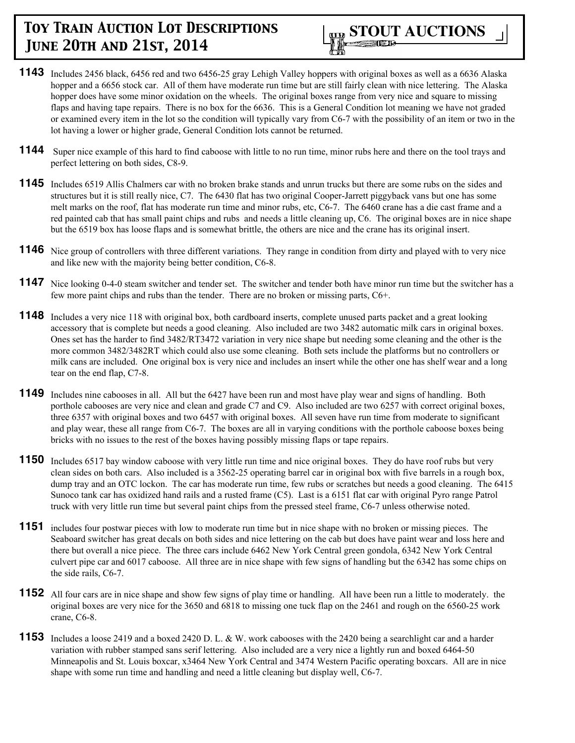

- **1143** Includes 2456 black, 6456 red and two 6456-25 gray Lehigh Valley hoppers with original boxes as well as a 6636 Alaska hopper and a 6656 stock car. All of them have moderate run time but are still fairly clean with nice lettering. The Alaska hopper does have some minor oxidation on the wheels. The original boxes range from very nice and square to missing flaps and having tape repairs. There is no box for the 6636. This is a General Condition lot meaning we have not graded or examined every item in the lot so the condition will typically vary from C6-7 with the possibility of an item or two in the lot having a lower or higher grade, General Condition lots cannot be returned.
- **1144** Super nice example of this hard to find caboose with little to no run time, minor rubs here and there on the tool trays and perfect lettering on both sides, C8-9.
- **1145** Includes 6519 Allis Chalmers car with no broken brake stands and unrun trucks but there are some rubs on the sides and structures but it is still really nice, C7. The 6430 flat has two original Cooper-Jarrett piggyback vans but one has some melt marks on the roof, flat has moderate run time and minor rubs, etc, C6-7. The 6460 crane has a die cast frame and a red painted cab that has small paint chips and rubs and needs a little cleaning up, C6. The original boxes are in nice shape but the 6519 box has loose flaps and is somewhat brittle, the others are nice and the crane has its original insert.
- **1146** Nice group of controllers with three different variations. They range in condition from dirty and played with to very nice and like new with the majority being better condition, C6-8.
- **1147** Nice looking 0-4-0 steam switcher and tender set. The switcher and tender both have minor run time but the switcher has a few more paint chips and rubs than the tender. There are no broken or missing parts, C6+.
- **1148** Includes a very nice 118 with original box, both cardboard inserts, complete unused parts packet and a great looking accessory that is complete but needs a good cleaning. Also included are two 3482 automatic milk cars in original boxes. Ones set has the harder to find 3482/RT3472 variation in very nice shape but needing some cleaning and the other is the more common 3482/3482RT which could also use some cleaning. Both sets include the platforms but no controllers or milk cans are included. One original box is very nice and includes an insert while the other one has shelf wear and a long tear on the end flap, C7-8.
- **1149** Includes nine cabooses in all. All but the 6427 have been run and most have play wear and signs of handling. Both porthole cabooses are very nice and clean and grade C7 and C9. Also included are two 6257 with correct original boxes, three 6357 with original boxes and two 6457 with original boxes. All seven have run time from moderate to significant and play wear, these all range from C6-7. The boxes are all in varying conditions with the porthole caboose boxes being bricks with no issues to the rest of the boxes having possibly missing flaps or tape repairs.
- **1150** Includes 6517 bay window caboose with very little run time and nice original boxes. They do have roof rubs but very clean sides on both cars. Also included is a 3562-25 operating barrel car in original box with five barrels in a rough box, dump tray and an OTC lockon. The car has moderate run time, few rubs or scratches but needs a good cleaning. The 6415 Sunoco tank car has oxidized hand rails and a rusted frame (C5). Last is a 6151 flat car with original Pyro range Patrol truck with very little run time but several paint chips from the pressed steel frame, C6-7 unless otherwise noted.
- **1151** includes four postwar pieces with low to moderate run time but in nice shape with no broken or missing pieces. The Seaboard switcher has great decals on both sides and nice lettering on the cab but does have paint wear and loss here and there but overall a nice piece. The three cars include 6462 New York Central green gondola, 6342 New York Central culvert pipe car and 6017 caboose. All three are in nice shape with few signs of handling but the 6342 has some chips on the side rails, C6-7.
- **1152** All four cars are in nice shape and show few signs of play time or handling. All have been run a little to moderately. the original boxes are very nice for the 3650 and 6818 to missing one tuck flap on the 2461 and rough on the 6560-25 work crane, C6-8.
- **1153** Includes a loose 2419 and a boxed 2420 D. L. & W. work cabooses with the 2420 being a searchlight car and a harder variation with rubber stamped sans serif lettering. Also included are a very nice a lightly run and boxed 6464-50 Minneapolis and St. Louis boxcar, x3464 New York Central and 3474 Western Pacific operating boxcars. All are in nice shape with some run time and handling and need a little cleaning but display well, C6-7.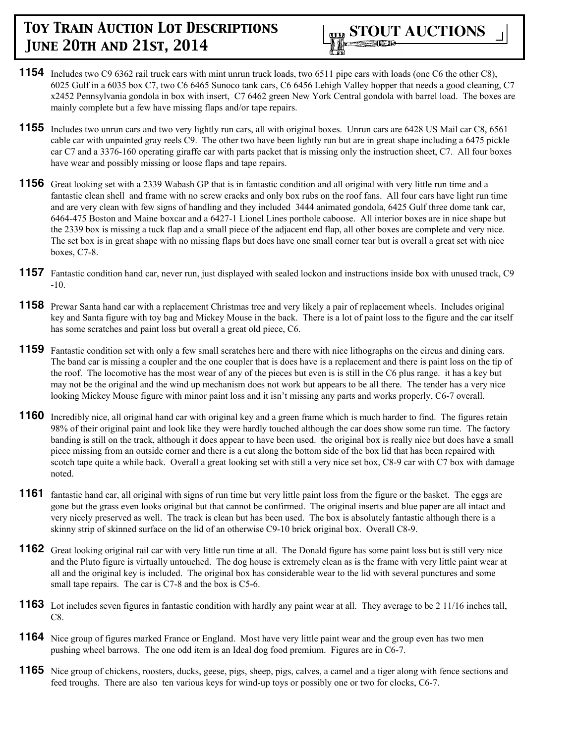- **1154** Includes two C9 6362 rail truck cars with mint unrun truck loads, two 6511 pipe cars with loads (one C6 the other C8), 6025 Gulf in a 6035 box C7, two C6 6465 Sunoco tank cars, C6 6456 Lehigh Valley hopper that needs a good cleaning, C7 x2452 Pennsylvania gondola in box with insert, C7 6462 green New York Central gondola with barrel load. The boxes are mainly complete but a few have missing flaps and/or tape repairs.
- **1155** Includes two unrun cars and two very lightly run cars, all with original boxes. Unrun cars are 6428 US Mail car C8, 6561 cable car with unpainted gray reels C9. The other two have been lightly run but are in great shape including a 6475 pickle car C7 and a 3376-160 operating giraffe car with parts packet that is missing only the instruction sheet, C7. All four boxes have wear and possibly missing or loose flaps and tape repairs.
- **1156** Great looking set with a 2339 Wabash GP that is in fantastic condition and all original with very little run time and a fantastic clean shell and frame with no screw cracks and only box rubs on the roof fans. All four cars have light run time and are very clean with few signs of handling and they included 3444 animated gondola, 6425 Gulf three dome tank car, 6464-475 Boston and Maine boxcar and a 6427-1 Lionel Lines porthole caboose. All interior boxes are in nice shape but the 2339 box is missing a tuck flap and a small piece of the adjacent end flap, all other boxes are complete and very nice. The set box is in great shape with no missing flaps but does have one small corner tear but is overall a great set with nice boxes, C7-8.
- **1157** Fantastic condition hand car, never run, just displayed with sealed lockon and instructions inside box with unused track, C9 -10.
- **1158** Prewar Santa hand car with a replacement Christmas tree and very likely a pair of replacement wheels. Includes original key and Santa figure with toy bag and Mickey Mouse in the back. There is a lot of paint loss to the figure and the car itself has some scratches and paint loss but overall a great old piece, C6.
- **1159** Fantastic condition set with only a few small scratches here and there with nice lithographs on the circus and dining cars. The band car is missing a coupler and the one coupler that is does have is a replacement and there is paint loss on the tip of the roof. The locomotive has the most wear of any of the pieces but even is is still in the C6 plus range. it has a key but may not be the original and the wind up mechanism does not work but appears to be all there. The tender has a very nice looking Mickey Mouse figure with minor paint loss and it isn't missing any parts and works properly, C6-7 overall.
- **1160** Incredibly nice, all original hand car with original key and a green frame which is much harder to find. The figures retain 98% of their original paint and look like they were hardly touched although the car does show some run time. The factory banding is still on the track, although it does appear to have been used. the original box is really nice but does have a small piece missing from an outside corner and there is a cut along the bottom side of the box lid that has been repaired with scotch tape quite a while back. Overall a great looking set with still a very nice set box, C8-9 car with C7 box with damage noted.
- **1161** fantastic hand car, all original with signs of run time but very little paint loss from the figure or the basket. The eggs are gone but the grass even looks original but that cannot be confirmed. The original inserts and blue paper are all intact and very nicely preserved as well. The track is clean but has been used. The box is absolutely fantastic although there is a skinny strip of skinned surface on the lid of an otherwise C9-10 brick original box. Overall C8-9.
- **1162** Great looking original rail car with very little run time at all. The Donald figure has some paint loss but is still very nice and the Pluto figure is virtually untouched. The dog house is extremely clean as is the frame with very little paint wear at all and the original key is included. The original box has considerable wear to the lid with several punctures and some small tape repairs. The car is C7-8 and the box is C5-6.
- **1163** Lot includes seven figures in fantastic condition with hardly any paint wear at all. They average to be 2 11/16 inches tall, C8.
- **1164** Nice group of figures marked France or England. Most have very little paint wear and the group even has two men pushing wheel barrows. The one odd item is an Ideal dog food premium. Figures are in C6-7.
- **1165** Nice group of chickens, roosters, ducks, geese, pigs, sheep, pigs, calves, a camel and a tiger along with fence sections and feed troughs. There are also ten various keys for wind-up toys or possibly one or two for clocks, C6-7.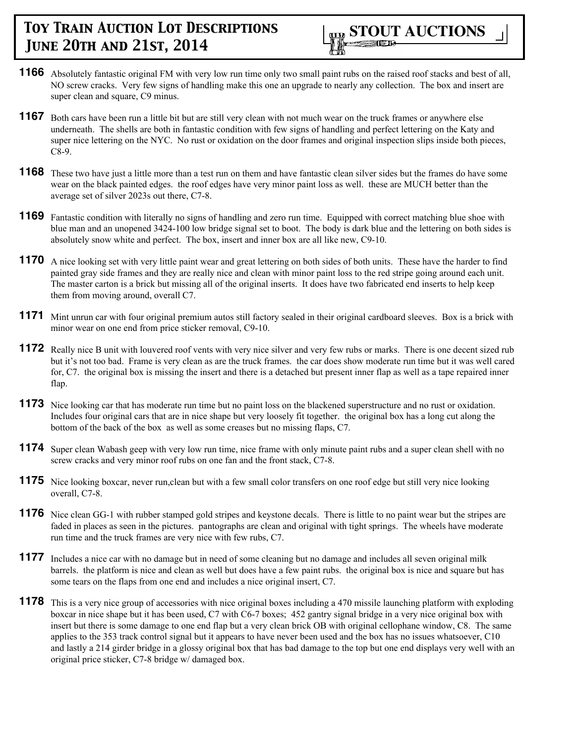

- **1166** Absolutely fantastic original FM with very low run time only two small paint rubs on the raised roof stacks and best of all, NO screw cracks. Very few signs of handling make this one an upgrade to nearly any collection. The box and insert are super clean and square, C9 minus.
- **1167** Both cars have been run a little bit but are still very clean with not much wear on the truck frames or anywhere else underneath. The shells are both in fantastic condition with few signs of handling and perfect lettering on the Katy and super nice lettering on the NYC. No rust or oxidation on the door frames and original inspection slips inside both pieces, C8-9.
- **1168** These two have just a little more than a test run on them and have fantastic clean silver sides but the frames do have some wear on the black painted edges. the roof edges have very minor paint loss as well. these are MUCH better than the average set of silver 2023s out there, C7-8.
- **1169** Fantastic condition with literally no signs of handling and zero run time. Equipped with correct matching blue shoe with blue man and an unopened 3424-100 low bridge signal set to boot. The body is dark blue and the lettering on both sides is absolutely snow white and perfect. The box, insert and inner box are all like new, C9-10.
- **1170** A nice looking set with very little paint wear and great lettering on both sides of both units. These have the harder to find painted gray side frames and they are really nice and clean with minor paint loss to the red stripe going around each unit. The master carton is a brick but missing all of the original inserts. It does have two fabricated end inserts to help keep them from moving around, overall C7.
- **1171** Mint unrun car with four original premium autos still factory sealed in their original cardboard sleeves. Box is a brick with minor wear on one end from price sticker removal, C9-10.
- **1172** Really nice B unit with louvered roof vents with very nice silver and very few rubs or marks. There is one decent sized rub but it's not too bad. Frame is very clean as are the truck frames. the car does show moderate run time but it was well cared for, C7. the original box is missing the insert and there is a detached but present inner flap as well as a tape repaired inner flap.
- **1173** Nice looking car that has moderate run time but no paint loss on the blackened superstructure and no rust or oxidation. Includes four original cars that are in nice shape but very loosely fit together. the original box has a long cut along the bottom of the back of the box as well as some creases but no missing flaps, C7.
- **1174** Super clean Wabash geep with very low run time, nice frame with only minute paint rubs and a super clean shell with no screw cracks and very minor roof rubs on one fan and the front stack, C7-8.
- **1175** Nice looking boxcar, never run, clean but with a few small color transfers on one roof edge but still very nice looking overall, C7-8.
- **1176** Nice clean GG-1 with rubber stamped gold stripes and keystone decals. There is little to no paint wear but the stripes are faded in places as seen in the pictures. pantographs are clean and original with tight springs. The wheels have moderate run time and the truck frames are very nice with few rubs, C7.
- **1177** Includes a nice car with no damage but in need of some cleaning but no damage and includes all seven original milk barrels. the platform is nice and clean as well but does have a few paint rubs. the original box is nice and square but has some tears on the flaps from one end and includes a nice original insert, C7.
- **1178** This is a very nice group of accessories with nice original boxes including a 470 missile launching platform with exploding boxcar in nice shape but it has been used, C7 with C6-7 boxes; 452 gantry signal bridge in a very nice original box with insert but there is some damage to one end flap but a very clean brick OB with original cellophane window, C8. The same applies to the 353 track control signal but it appears to have never been used and the box has no issues whatsoever, C10 and lastly a 214 girder bridge in a glossy original box that has bad damage to the top but one end displays very well with an original price sticker, C7-8 bridge w/ damaged box.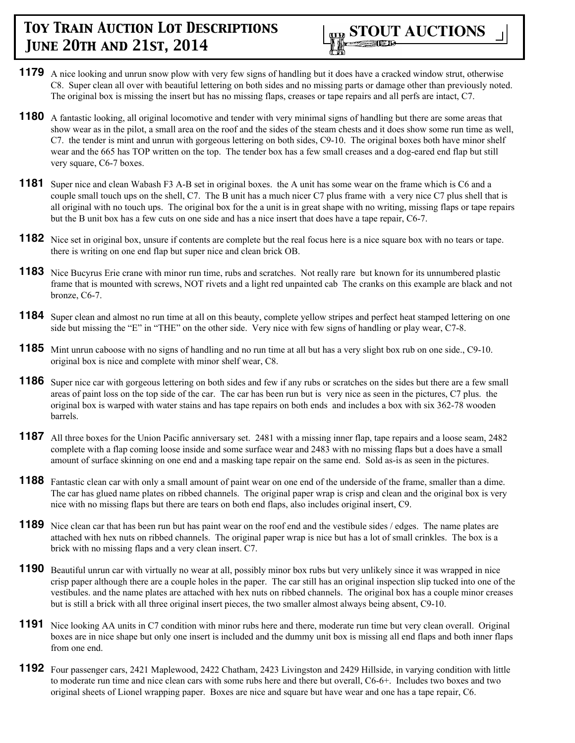

- **1179** A nice looking and unrun snow plow with very few signs of handling but it does have a cracked window strut, otherwise C8. Super clean all over with beautiful lettering on both sides and no missing parts or damage other than previously noted. The original box is missing the insert but has no missing flaps, creases or tape repairs and all perfs are intact, C7.
- **1180** A fantastic looking, all original locomotive and tender with very minimal signs of handling but there are some areas that show wear as in the pilot, a small area on the roof and the sides of the steam chests and it does show some run time as well, C7. the tender is mint and unrun with gorgeous lettering on both sides, C9-10. The original boxes both have minor shelf wear and the 665 has TOP written on the top. The tender box has a few small creases and a dog-eared end flap but still very square, C6-7 boxes.
- **1181** Super nice and clean Wabash F3 A-B set in original boxes. the A unit has some wear on the frame which is C6 and a couple small touch ups on the shell, C7. The B unit has a much nicer C7 plus frame with a very nice C7 plus shell that is all original with no touch ups. The original box for the a unit is in great shape with no writing, missing flaps or tape repairs but the B unit box has a few cuts on one side and has a nice insert that does have a tape repair, C6-7.
- **1182** Nice set in original box, unsure if contents are complete but the real focus here is a nice square box with no tears or tape. there is writing on one end flap but super nice and clean brick OB.
- **1183** Nice Bucyrus Erie crane with minor run time, rubs and scratches. Not really rare but known for its unnumbered plastic frame that is mounted with screws, NOT rivets and a light red unpainted cab The cranks on this example are black and not bronze, C6-7.
- **1184** Super clean and almost no run time at all on this beauty, complete yellow stripes and perfect heat stamped lettering on one side but missing the "E" in "THE" on the other side. Very nice with few signs of handling or play wear, C7-8.
- **1185** Mint unrun caboose with no signs of handling and no run time at all but has a very slight box rub on one side., C9-10. original box is nice and complete with minor shelf wear, C8.
- **1186** Super nice car with gorgeous lettering on both sides and few if any rubs or scratches on the sides but there are a few small areas of paint loss on the top side of the car. The car has been run but is very nice as seen in the pictures, C7 plus. the original box is warped with water stains and has tape repairs on both ends and includes a box with six 362-78 wooden barrels.
- **1187** All three boxes for the Union Pacific anniversary set. 2481 with a missing inner flap, tape repairs and a loose seam, 2482 complete with a flap coming loose inside and some surface wear and 2483 with no missing flaps but a does have a small amount of surface skinning on one end and a masking tape repair on the same end. Sold as-is as seen in the pictures.
- **1188** Fantastic clean car with only a small amount of paint wear on one end of the underside of the frame, smaller than a dime. The car has glued name plates on ribbed channels. The original paper wrap is crisp and clean and the original box is very nice with no missing flaps but there are tears on both end flaps, also includes original insert, C9.
- **1189** Nice clean car that has been run but has paint wear on the roof end and the vestibule sides / edges. The name plates are attached with hex nuts on ribbed channels. The original paper wrap is nice but has a lot of small crinkles. The box is a brick with no missing flaps and a very clean insert. C7.
- **1190** Beautiful unrun car with virtually no wear at all, possibly minor box rubs but very unlikely since it was wrapped in nice crisp paper although there are a couple holes in the paper. The car still has an original inspection slip tucked into one of the vestibules. and the name plates are attached with hex nuts on ribbed channels. The original box has a couple minor creases but is still a brick with all three original insert pieces, the two smaller almost always being absent, C9-10.
- **1191** Nice looking AA units in C7 condition with minor rubs here and there, moderate run time but very clean overall. Original boxes are in nice shape but only one insert is included and the dummy unit box is missing all end flaps and both inner flaps from one end.
- **1192** Four passenger cars, 2421 Maplewood, 2422 Chatham, 2423 Livingston and 2429 Hillside, in varying condition with little to moderate run time and nice clean cars with some rubs here and there but overall, C6-6+. Includes two boxes and two original sheets of Lionel wrapping paper. Boxes are nice and square but have wear and one has a tape repair, C6.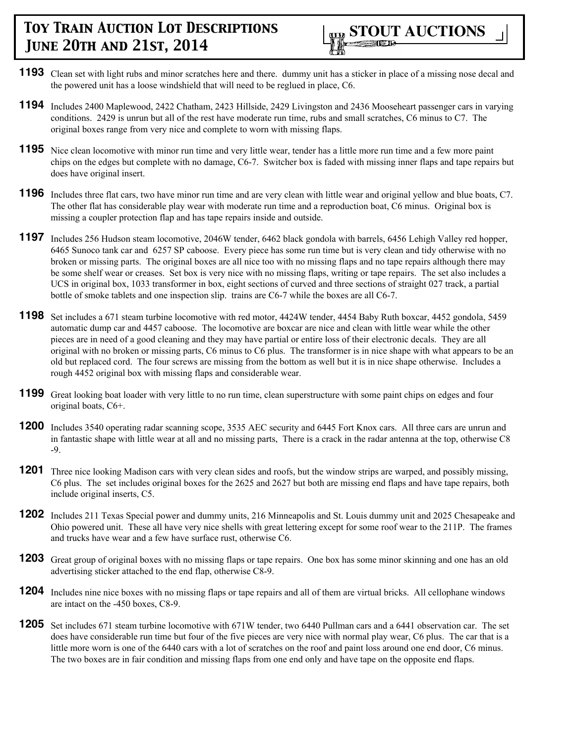

- **1193** Clean set with light rubs and minor scratches here and there. dummy unit has a sticker in place of a missing nose decal and the powered unit has a loose windshield that will need to be reglued in place, C6.
- **1194** Includes 2400 Maplewood, 2422 Chatham, 2423 Hillside, 2429 Livingston and 2436 Mooseheart passenger cars in varying conditions. 2429 is unrun but all of the rest have moderate run time, rubs and small scratches, C6 minus to C7. The original boxes range from very nice and complete to worn with missing flaps.
- **1195** Nice clean locomotive with minor run time and very little wear, tender has a little more run time and a few more paint chips on the edges but complete with no damage, C6-7. Switcher box is faded with missing inner flaps and tape repairs but does have original insert.
- **1196** Includes three flat cars, two have minor run time and are very clean with little wear and original yellow and blue boats, C7. The other flat has considerable play wear with moderate run time and a reproduction boat, C6 minus. Original box is missing a coupler protection flap and has tape repairs inside and outside.
- **1197** Includes 256 Hudson steam locomotive, 2046W tender, 6462 black gondola with barrels, 6456 Lehigh Valley red hopper, 6465 Sunoco tank car and 6257 SP caboose. Every piece has some run time but is very clean and tidy otherwise with no broken or missing parts. The original boxes are all nice too with no missing flaps and no tape repairs although there may be some shelf wear or creases. Set box is very nice with no missing flaps, writing or tape repairs. The set also includes a UCS in original box, 1033 transformer in box, eight sections of curved and three sections of straight 027 track, a partial bottle of smoke tablets and one inspection slip. trains are C6-7 while the boxes are all C6-7.
- **1198** Set includes a 671 steam turbine locomotive with red motor, 4424W tender, 4454 Baby Ruth boxcar, 4452 gondola, 5459 automatic dump car and 4457 caboose. The locomotive are boxcar are nice and clean with little wear while the other pieces are in need of a good cleaning and they may have partial or entire loss of their electronic decals. They are all original with no broken or missing parts, C6 minus to C6 plus. The transformer is in nice shape with what appears to be an old but replaced cord. The four screws are missing from the bottom as well but it is in nice shape otherwise. Includes a rough 4452 original box with missing flaps and considerable wear.
- **1199** Great looking boat loader with very little to no run time, clean superstructure with some paint chips on edges and four original boats, C6+.
- **1200** Includes 3540 operating radar scanning scope, 3535 AEC security and 6445 Fort Knox cars. All three cars are unrun and in fantastic shape with little wear at all and no missing parts, There is a crack in the radar antenna at the top, otherwise C8 -9.
- **1201** Three nice looking Madison cars with very clean sides and roofs, but the window strips are warped, and possibly missing, C6 plus. The set includes original boxes for the 2625 and 2627 but both are missing end flaps and have tape repairs, both include original inserts, C5.
- **1202** Includes 211 Texas Special power and dummy units, 216 Minneapolis and St. Louis dummy unit and 2025 Chesapeake and Ohio powered unit. These all have very nice shells with great lettering except for some roof wear to the 211P. The frames and trucks have wear and a few have surface rust, otherwise C6.
- **1203** Great group of original boxes with no missing flaps or tape repairs. One box has some minor skinning and one has an old advertising sticker attached to the end flap, otherwise C8-9.
- **1204** Includes nine nice boxes with no missing flaps or tape repairs and all of them are virtual bricks. All cellophane windows are intact on the -450 boxes, C8-9.
- **1205** Set includes 671 steam turbine locomotive with 671W tender, two 6440 Pullman cars and a 6441 observation car. The set does have considerable run time but four of the five pieces are very nice with normal play wear, C6 plus. The car that is a little more worn is one of the 6440 cars with a lot of scratches on the roof and paint loss around one end door, C6 minus. The two boxes are in fair condition and missing flaps from one end only and have tape on the opposite end flaps.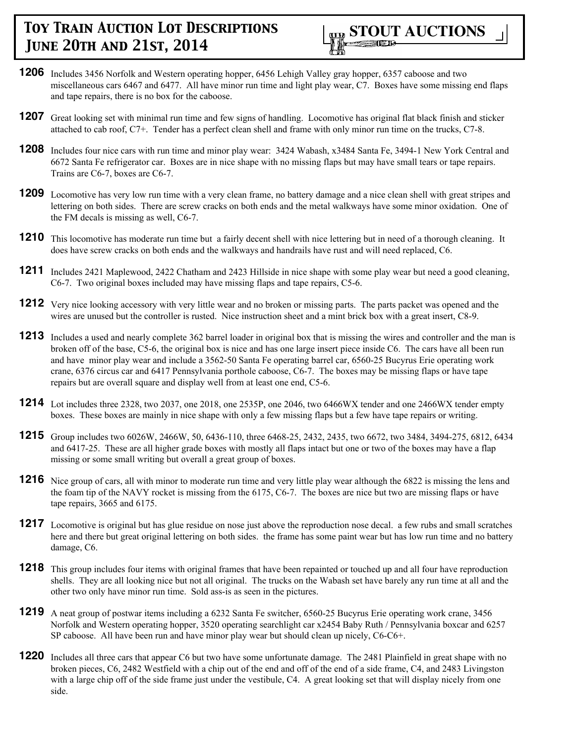

- **1206** Includes 3456 Norfolk and Western operating hopper, 6456 Lehigh Valley gray hopper, 6357 caboose and two miscellaneous cars 6467 and 6477. All have minor run time and light play wear, C7. Boxes have some missing end flaps and tape repairs, there is no box for the caboose.
- **1207** Great looking set with minimal run time and few signs of handling. Locomotive has original flat black finish and sticker attached to cab roof, C7+. Tender has a perfect clean shell and frame with only minor run time on the trucks, C7-8.
- **1208** Includes four nice cars with run time and minor play wear: 3424 Wabash, x3484 Santa Fe, 3494-1 New York Central and 6672 Santa Fe refrigerator car. Boxes are in nice shape with no missing flaps but may have small tears or tape repairs. Trains are C6-7, boxes are C6-7.
- **1209** Locomotive has very low run time with a very clean frame, no battery damage and a nice clean shell with great stripes and lettering on both sides. There are screw cracks on both ends and the metal walkways have some minor oxidation. One of the FM decals is missing as well, C6-7.
- **1210** This locomotive has moderate run time but a fairly decent shell with nice lettering but in need of a thorough cleaning. It does have screw cracks on both ends and the walkways and handrails have rust and will need replaced, C6.
- **1211** Includes 2421 Maplewood, 2422 Chatham and 2423 Hillside in nice shape with some play wear but need a good cleaning, C6-7. Two original boxes included may have missing flaps and tape repairs, C5-6.
- **1212** Very nice looking accessory with very little wear and no broken or missing parts. The parts packet was opened and the wires are unused but the controller is rusted. Nice instruction sheet and a mint brick box with a great insert, C8-9.
- **1213** Includes a used and nearly complete 362 barrel loader in original box that is missing the wires and controller and the man is broken off of the base, C5-6, the original box is nice and has one large insert piece inside C6. The cars have all been run and have minor play wear and include a 3562-50 Santa Fe operating barrel car, 6560-25 Bucyrus Erie operating work crane, 6376 circus car and 6417 Pennsylvania porthole caboose, C6-7. The boxes may be missing flaps or have tape repairs but are overall square and display well from at least one end, C5-6.
- **1214** Lot includes three 2328, two 2037, one 2018, one 2535P, one 2046, two 6466WX tender and one 2466WX tender empty boxes. These boxes are mainly in nice shape with only a few missing flaps but a few have tape repairs or writing.
- **1215** Group includes two 6026W, 2466W, 50, 6436-110, three 6468-25, 2432, 2435, two 6672, two 3484, 3494-275, 6812, 6434 and 6417-25. These are all higher grade boxes with mostly all flaps intact but one or two of the boxes may have a flap missing or some small writing but overall a great group of boxes.
- **1216** Nice group of cars, all with minor to moderate run time and very little play wear although the 6822 is missing the lens and the foam tip of the NAVY rocket is missing from the 6175, C6-7. The boxes are nice but two are missing flaps or have tape repairs, 3665 and 6175.
- **1217** Locomotive is original but has glue residue on nose just above the reproduction nose decal. a few rubs and small scratches here and there but great original lettering on both sides. the frame has some paint wear but has low run time and no battery damage, C6.
- **1218** This group includes four items with original frames that have been repainted or touched up and all four have reproduction shells. They are all looking nice but not all original. The trucks on the Wabash set have barely any run time at all and the other two only have minor run time. Sold ass-is as seen in the pictures.
- **1219** A neat group of postwar items including a 6232 Santa Fe switcher, 6560-25 Bucyrus Erie operating work crane, 3456 Norfolk and Western operating hopper, 3520 operating searchlight car x2454 Baby Ruth / Pennsylvania boxcar and 6257 SP caboose. All have been run and have minor play wear but should clean up nicely, C6-C6+.
- **1220** Includes all three cars that appear C6 but two have some unfortunate damage. The 2481 Plainfield in great shape with no broken pieces, C6, 2482 Westfield with a chip out of the end and off of the end of a side frame, C4, and 2483 Livingston with a large chip off of the side frame just under the vestibule, C4. A great looking set that will display nicely from one side.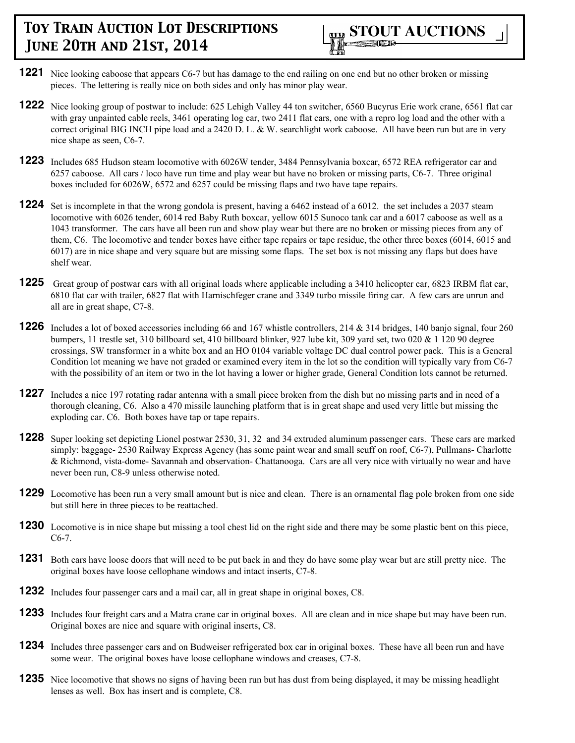

- **1221** Nice looking caboose that appears C6-7 but has damage to the end railing on one end but no other broken or missing pieces. The lettering is really nice on both sides and only has minor play wear.
- **1222** Nice looking group of postwar to include: 625 Lehigh Valley 44 ton switcher, 6560 Bucyrus Erie work crane, 6561 flat car with gray unpainted cable reels, 3461 operating log car, two 2411 flat cars, one with a repro log load and the other with a correct original BIG INCH pipe load and a 2420 D. L. & W. searchlight work caboose. All have been run but are in very nice shape as seen, C6-7.
- **1223** Includes 685 Hudson steam locomotive with 6026W tender, 3484 Pennsylvania boxcar, 6572 REA refrigerator car and 6257 caboose. All cars / loco have run time and play wear but have no broken or missing parts, C6-7. Three original boxes included for 6026W, 6572 and 6257 could be missing flaps and two have tape repairs.
- **1224** Set is incomplete in that the wrong gondola is present, having a 6462 instead of a 6012. the set includes a 2037 steam locomotive with 6026 tender, 6014 red Baby Ruth boxcar, yellow 6015 Sunoco tank car and a 6017 caboose as well as a 1043 transformer. The cars have all been run and show play wear but there are no broken or missing pieces from any of them, C6. The locomotive and tender boxes have either tape repairs or tape residue, the other three boxes (6014, 6015 and 6017) are in nice shape and very square but are missing some flaps. The set box is not missing any flaps but does have shelf wear.
- **1225** Great group of postwar cars with all original loads where applicable including a 3410 helicopter car, 6823 IRBM flat car, 6810 flat car with trailer, 6827 flat with Harnischfeger crane and 3349 turbo missile firing car. A few cars are unrun and all are in great shape, C7-8.
- **1226** Includes a lot of boxed accessories including 66 and 167 whistle controllers, 214 & 314 bridges, 140 banjo signal, four 260 bumpers, 11 trestle set, 310 billboard set, 410 billboard blinker, 927 lube kit, 309 yard set, two 020 & 1 120 90 degree crossings, SW transformer in a white box and an HO 0104 variable voltage DC dual control power pack. This is a General Condition lot meaning we have not graded or examined every item in the lot so the condition will typically vary from C6-7 with the possibility of an item or two in the lot having a lower or higher grade, General Condition lots cannot be returned.
- **1227** Includes a nice 197 rotating radar antenna with a small piece broken from the dish but no missing parts and in need of a thorough cleaning, C6. Also a 470 missile launching platform that is in great shape and used very little but missing the exploding car. C6. Both boxes have tap or tape repairs.
- **1228** Super looking set depicting Lionel postwar 2530, 31, 32 and 34 extruded aluminum passenger cars. These cars are marked simply: baggage- 2530 Railway Express Agency (has some paint wear and small scuff on roof, C6-7), Pullmans- Charlotte & Richmond, vista-dome- Savannah and observation- Chattanooga. Cars are all very nice with virtually no wear and have never been run, C8-9 unless otherwise noted.
- **1229** Locomotive has been run a very small amount but is nice and clean. There is an ornamental flag pole broken from one side but still here in three pieces to be reattached.
- **1230** Locomotive is in nice shape but missing a tool chest lid on the right side and there may be some plastic bent on this piece, C6-7.
- **1231** Both cars have loose doors that will need to be put back in and they do have some play wear but are still pretty nice. The original boxes have loose cellophane windows and intact inserts, C7-8.
- **1232** Includes four passenger cars and a mail car, all in great shape in original boxes, C8.
- **1233** Includes four freight cars and a Matra crane car in original boxes. All are clean and in nice shape but may have been run. Original boxes are nice and square with original inserts, C8.
- **1234** Includes three passenger cars and on Budweiser refrigerated box car in original boxes. These have all been run and have some wear. The original boxes have loose cellophane windows and creases, C7-8.
- **1235** Nice locomotive that shows no signs of having been run but has dust from being displayed, it may be missing headlight lenses as well. Box has insert and is complete, C8.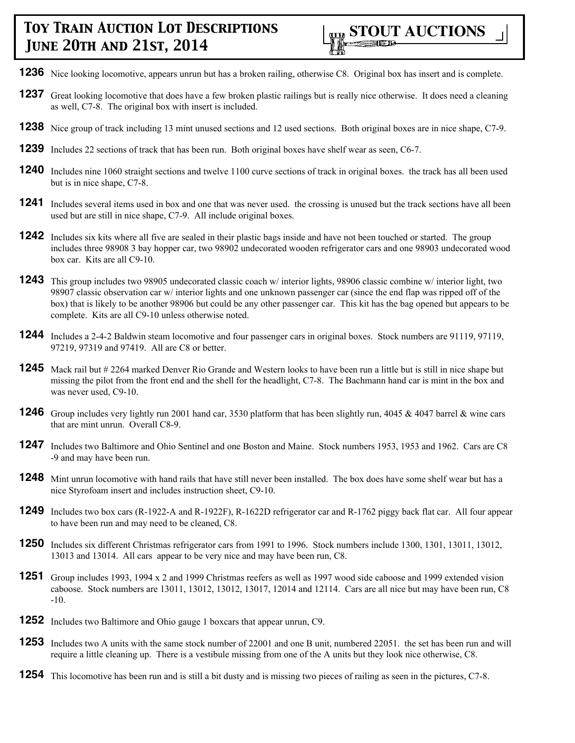

- **1236** Nice looking locomotive, appears unrun but has a broken railing, otherwise C8. Original box has insert and is complete.
- **1237** Great looking locomotive that does have a few broken plastic railings but is really nice otherwise. It does need a cleaning as well, C7-8. The original box with insert is included.
- **1238** Nice group of track including 13 mint unused sections and 12 used sections. Both original boxes are in nice shape, C7-9.
- **1239** Includes 22 sections of track that has been run. Both original boxes have shelf wear as seen, C6-7.
- **1240** Includes nine 1060 straight sections and twelve 1100 curve sections of track in original boxes. the track has all been used but is in nice shape, C7-8.
- **1241** Includes several items used in box and one that was never used. the crossing is unused but the track sections have all been used but are still in nice shape, C7-9. All include original boxes.
- **1242** Includes six kits where all five are sealed in their plastic bags inside and have not been touched or started. The group includes three 98908 3 bay hopper car, two 98902 undecorated wooden refrigerator cars and one 98903 undecorated wood box car. Kits are all C9-10.
- **1243** This group includes two 98905 undecorated classic coach w/ interior lights, 98906 classic combine w/ interior light, two 98907 classic observation car w/ interior lights and one unknown passenger car (since the end flap was ripped off of the box) that is likely to be another 98906 but could be any other passenger car. This kit has the bag opened but appears to be complete. Kits are all C9-10 unless otherwise noted.
- **1244** Includes a 2-4-2 Baldwin steam locomotive and four passenger cars in original boxes. Stock numbers are 91119, 97119, 97219, 97319 and 97419. All are C8 or better.
- **1245** Mack rail but # 2264 marked Denver Rio Grande and Western looks to have been run a little but is still in nice shape but missing the pilot from the front end and the shell for the headlight, C7-8. The Bachmann hand car is mint in the box and was never used, C9-10.
- **1246** Group includes very lightly run 2001 hand car, 3530 platform that has been slightly run, 4045 & 4047 barrel & wine cars that are mint unrun. Overall C8-9.
- **1247** Includes two Baltimore and Ohio Sentinel and one Boston and Maine. Stock numbers 1953, 1953 and 1962. Cars are C8 -9 and may have been run.
- **1248** Mint unrun locomotive with hand rails that have still never been installed. The box does have some shelf wear but has a nice Styrofoam insert and includes instruction sheet, C9-10.
- **1249** Includes two box cars (R-1922-A and R-1922F), R-1622D refrigerator car and R-1762 piggy back flat car. All four appear to have been run and may need to be cleaned, C8.
- **1250** Includes six different Christmas refrigerator cars from 1991 to 1996. Stock numbers include 1300, 1301, 13011, 13012, 13013 and 13014. All cars appear to be very nice and may have been run, C8.
- **1251** Group includes 1993, 1994 x 2 and 1999 Christmas reefers as well as 1997 wood side caboose and 1999 extended vision caboose. Stock numbers are 13011, 13012, 13012, 13017, 12014 and 12114. Cars are all nice but may have been run, C8 -10.
- **1252** Includes two Baltimore and Ohio gauge 1 boxcars that appear unrun, C9.
- **1253** Includes two A units with the same stock number of 22001 and one B unit, numbered 22051. the set has been run and will require a little cleaning up. There is a vestibule missing from one of the A units but they look nice otherwise, C8.
- **1254** This locomotive has been run and is still a bit dusty and is missing two pieces of railing as seen in the pictures, C7-8.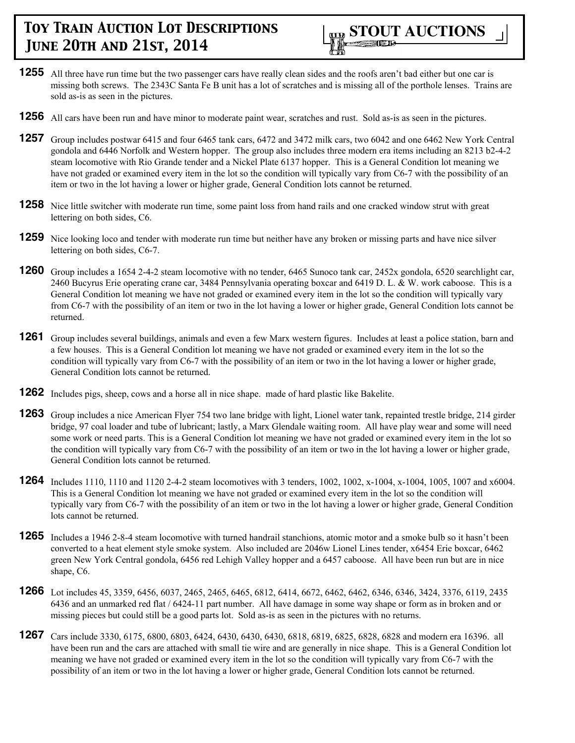

- **1255** All three have run time but the two passenger cars have really clean sides and the roofs aren't bad either but one car is missing both screws. The 2343C Santa Fe B unit has a lot of scratches and is missing all of the porthole lenses. Trains are sold as-is as seen in the pictures.
- **1256** All cars have been run and have minor to moderate paint wear, scratches and rust. Sold as-is as seen in the pictures.
- **1257** Group includes postwar 6415 and four 6465 tank cars, 6472 and 3472 milk cars, two 6042 and one 6462 New York Central gondola and 6446 Norfolk and Western hopper. The group also includes three modern era items including an 8213 b2-4-2 steam locomotive with Rio Grande tender and a Nickel Plate 6137 hopper. This is a General Condition lot meaning we have not graded or examined every item in the lot so the condition will typically vary from C6-7 with the possibility of an item or two in the lot having a lower or higher grade, General Condition lots cannot be returned.
- **1258** Nice little switcher with moderate run time, some paint loss from hand rails and one cracked window strut with great lettering on both sides, C6.
- **1259** Nice looking loco and tender with moderate run time but neither have any broken or missing parts and have nice silver lettering on both sides, C6-7.
- **1260** Group includes a 1654 2-4-2 steam locomotive with no tender, 6465 Sunoco tank car, 2452x gondola, 6520 searchlight car, 2460 Bucyrus Erie operating crane car, 3484 Pennsylvania operating boxcar and 6419 D. L. & W. work caboose. This is a General Condition lot meaning we have not graded or examined every item in the lot so the condition will typically vary from C6-7 with the possibility of an item or two in the lot having a lower or higher grade, General Condition lots cannot be returned.
- **1261** Group includes several buildings, animals and even a few Marx western figures. Includes at least a police station, barn and a few houses. This is a General Condition lot meaning we have not graded or examined every item in the lot so the condition will typically vary from C6-7 with the possibility of an item or two in the lot having a lower or higher grade, General Condition lots cannot be returned.
- **1262** Includes pigs, sheep, cows and a horse all in nice shape. made of hard plastic like Bakelite.
- **1263** Group includes a nice American Flyer 754 two lane bridge with light, Lionel water tank, repainted trestle bridge, 214 girder bridge, 97 coal loader and tube of lubricant; lastly, a Marx Glendale waiting room. All have play wear and some will need some work or need parts. This is a General Condition lot meaning we have not graded or examined every item in the lot so the condition will typically vary from C6-7 with the possibility of an item or two in the lot having a lower or higher grade, General Condition lots cannot be returned.
- **1264** Includes 1110, 1110 and 1120 2-4-2 steam locomotives with 3 tenders, 1002, 1002, x-1004, x-1004, 1005, 1007 and x6004. This is a General Condition lot meaning we have not graded or examined every item in the lot so the condition will typically vary from C6-7 with the possibility of an item or two in the lot having a lower or higher grade, General Condition lots cannot be returned.
- **1265** Includes a 1946 2-8-4 steam locomotive with turned handrail stanchions, atomic motor and a smoke bulb so it hasn't been converted to a heat element style smoke system. Also included are 2046w Lionel Lines tender, x6454 Erie boxcar, 6462 green New York Central gondola, 6456 red Lehigh Valley hopper and a 6457 caboose. All have been run but are in nice shape, C6.
- **1266** Lot includes 45, 3359, 6456, 6037, 2465, 2465, 6465, 6812, 6414, 6672, 6462, 6462, 6346, 6346, 3424, 3376, 6119, 2435 6436 and an unmarked red flat / 6424-11 part number. All have damage in some way shape or form as in broken and or missing pieces but could still be a good parts lot. Sold as-is as seen in the pictures with no returns.
- **1267** Cars include 3330, 6175, 6800, 6803, 6424, 6430, 6430, 6430, 6818, 6819, 6825, 6828, 6828 and modern era 16396. all have been run and the cars are attached with small tie wire and are generally in nice shape. This is a General Condition lot meaning we have not graded or examined every item in the lot so the condition will typically vary from C6-7 with the possibility of an item or two in the lot having a lower or higher grade, General Condition lots cannot be returned.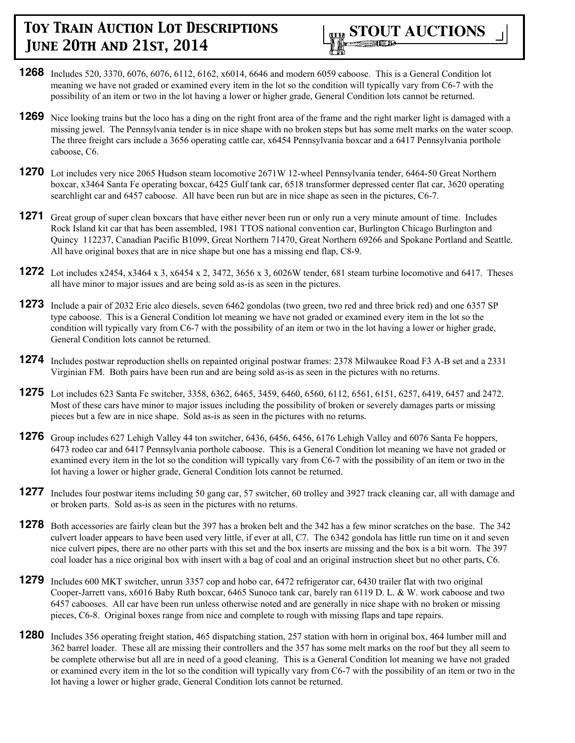

- **1268** Includes 520, 3370, 6076, 6076, 6112, 6162, x6014, 6646 and modern 6059 caboose. This is a General Condition lot meaning we have not graded or examined every item in the lot so the condition will typically vary from C6-7 with the possibility of an item or two in the lot having a lower or higher grade, General Condition lots cannot be returned.
- **1269** Nice looking trains but the loco has a ding on the right front area of the frame and the right marker light is damaged with a missing jewel. The Pennsylvania tender is in nice shape with no broken steps but has some melt marks on the water scoop. The three freight cars include a 3656 operating cattle car, x6454 Pennsylvania boxcar and a 6417 Pennsylvania porthole caboose, C6.
- **1270** Lot includes very nice 2065 Hudson steam locomotive 2671W 12-wheel Pennsylvania tender, 6464-50 Great Northern boxcar, x3464 Santa Fe operating boxcar, 6425 Gulf tank car, 6518 transformer depressed center flat car, 3620 operating searchlight car and 6457 caboose. All have been run but are in nice shape as seen in the pictures, C6-7.
- **1271** Great group of super clean boxcars that have either never been run or only run a very minute amount of time. Includes Rock Island kit car that has been assembled, 1981 TTOS national convention car, Burlington Chicago Burlington and Quincy 112237, Canadian Pacific B1099, Great Northern 71470, Great Northern 69266 and Spokane Portland and Seattle. All have original boxes that are in nice shape but one has a missing end flap, C8-9.
- **1272** Lot includes x2454, x3464 x 3, x6454 x 2, 3472, 3656 x 3, 6026W tender, 681 steam turbine locomotive and 6417. Theses all have minor to major issues and are being sold as-is as seen in the pictures.
- **1273** Include a pair of 2032 Erie alco diesels, seven 6462 gondolas (two green, two red and three brick red) and one 6357 SP type caboose. This is a General Condition lot meaning we have not graded or examined every item in the lot so the condition will typically vary from C6-7 with the possibility of an item or two in the lot having a lower or higher grade, General Condition lots cannot be returned.
- **1274** Includes postwar reproduction shells on repainted original postwar frames: 2378 Milwaukee Road F3 A-B set and a 2331 Virginian FM. Both pairs have been run and are being sold as-is as seen in the pictures with no returns.
- **1275** Lot includes 623 Santa Fe switcher, 3358, 6362, 6465, 3459, 6460, 6560, 6112, 6561, 6151, 6257, 6419, 6457 and 2472. Most of these cars have minor to major issues including the possibility of broken or severely damages parts or missing pieces but a few are in nice shape. Sold as-is as seen in the pictures with no returns.
- **1276** Group includes 627 Lehigh Valley 44 ton switcher, 6436, 6456, 6456, 6176 Lehigh Valley and 6076 Santa Fe hoppers, 6473 rodeo car and 6417 Pennsylvania porthole caboose. This is a General Condition lot meaning we have not graded or examined every item in the lot so the condition will typically vary from C6-7 with the possibility of an item or two in the lot having a lower or higher grade, General Condition lots cannot be returned.
- **1277** Includes four postwar items including 50 gang car, 57 switcher, 60 trolley and 3927 track cleaning car, all with damage and or broken parts. Sold as-is as seen in the pictures with no returns.
- **1278** Both accessories are fairly clean but the 397 has a broken belt and the 342 has a few minor scratches on the base. The 342 culvert loader appears to have been used very little, if ever at all, C7. The 6342 gondola has little run time on it and seven nice culvert pipes, there are no other parts with this set and the box inserts are missing and the box is a bit worn. The 397 coal loader has a nice original box with insert with a bag of coal and an original instruction sheet but no other parts, C6.
- **1279** Includes 600 MKT switcher, unrun 3357 cop and hobo car, 6472 refrigerator car, 6430 trailer flat with two original Cooper-Jarrett vans, x6016 Baby Ruth boxcar, 6465 Sunoco tank car, barely ran 6119 D. L. & W. work caboose and two 6457 cabooses. All car have been run unless otherwise noted and are generally in nice shape with no broken or missing pieces, C6-8. Original boxes range from nice and complete to rough with missing flaps and tape repairs.
- **1280** Includes 356 operating freight station, 465 dispatching station, 257 station with horn in original box, 464 lumber mill and 362 barrel loader. These all are missing their controllers and the 357 has some melt marks on the roof but they all seem to be complete otherwise but all are in need of a good cleaning. This is a General Condition lot meaning we have not graded or examined every item in the lot so the condition will typically vary from C6-7 with the possibility of an item or two in the lot having a lower or higher grade, General Condition lots cannot be returned.